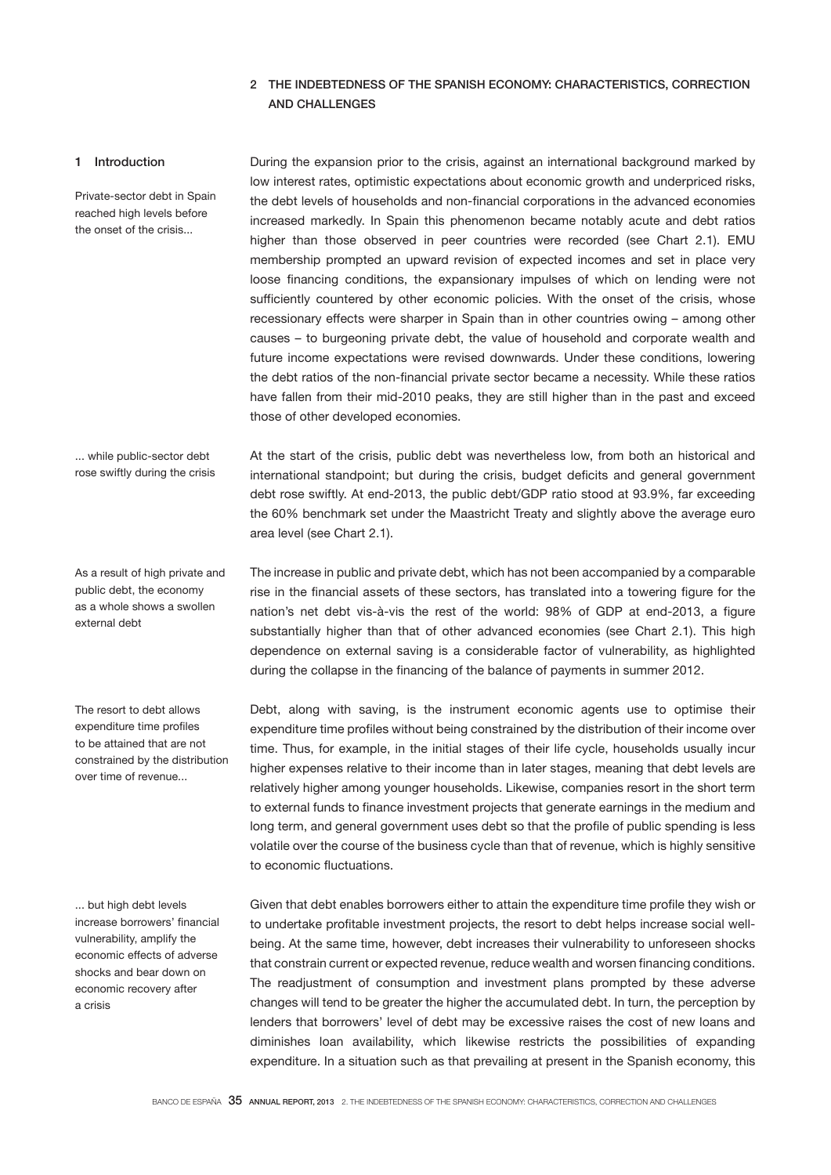# 2 THE INDEBTEDNESS OF THE SPANISH ECONOMY: CHARACTERISTICS, CORRECTION AND CHALLENGES

## 1 Introduction

Private-sector debt in Spain reached high levels before the onset of the crisis...

During the expansion prior to the crisis, against an international background marked by low interest rates, optimistic expectations about economic growth and underpriced risks, the debt levels of households and non-financial corporations in the advanced economies increased markedly. In Spain this phenomenon became notably acute and debt ratios higher than those observed in peer countries were recorded (see Chart 2.1). EMU membership prompted an upward revision of expected incomes and set in place very loose financing conditions, the expansionary impulses of which on lending were not sufficiently countered by other economic policies. With the onset of the crisis, whose recessionary effects were sharper in Spain than in other countries owing – among other causes – to burgeoning private debt, the value of household and corporate wealth and future income expectations were revised downwards. Under these conditions, lowering the debt ratios of the non-financial private sector became a necessity. While these ratios have fallen from their mid-2010 peaks, they are still higher than in the past and exceed those of other developed economies.

At the start of the crisis, public debt was nevertheless low, from both an historical and international standpoint; but during the crisis, budget deficits and general government debt rose swiftly. At end-2013, the public debt/GDP ratio stood at 93.9%, far exceeding the 60% benchmark set under the Maastricht Treaty and slightly above the average euro

... while public-sector debt rose swiftly during the crisis

area level (see Chart 2.1).

As a result of high private and public debt, the economy as a whole shows a swollen external debt

The resort to debt allows expenditure time profiles to be attained that are not constrained by the distribution over time of revenue...

... but high debt levels increase borrowers' financial vulnerability, amplify the economic effects of adverse shocks and bear down on economic recovery after a crisis

The increase in public and private debt, which has not been accompanied by a comparable rise in the financial assets of these sectors, has translated into a towering figure for the nation's net debt vis-à-vis the rest of the world: 98% of GDP at end-2013, a figure substantially higher than that of other advanced economies (see Chart 2.1). This high dependence on external saving is a considerable factor of vulnerability, as highlighted during the collapse in the financing of the balance of payments in summer 2012.

Debt, along with saving, is the instrument economic agents use to optimise their expenditure time profiles without being constrained by the distribution of their income over time. Thus, for example, in the initial stages of their life cycle, households usually incur higher expenses relative to their income than in later stages, meaning that debt levels are relatively higher among younger households. Likewise, companies resort in the short term to external funds to finance investment projects that generate earnings in the medium and long term, and general government uses debt so that the profile of public spending is less volatile over the course of the business cycle than that of revenue, which is highly sensitive to economic fluctuations.

Given that debt enables borrowers either to attain the expenditure time profile they wish or to undertake profitable investment projects, the resort to debt helps increase social wellbeing. At the same time, however, debt increases their vulnerability to unforeseen shocks that constrain current or expected revenue, reduce wealth and worsen financing conditions. The readjustment of consumption and investment plans prompted by these adverse changes will tend to be greater the higher the accumulated debt. In turn, the perception by lenders that borrowers' level of debt may be excessive raises the cost of new loans and diminishes loan availability, which likewise restricts the possibilities of expanding expenditure. In a situation such as that prevailing at present in the Spanish economy, this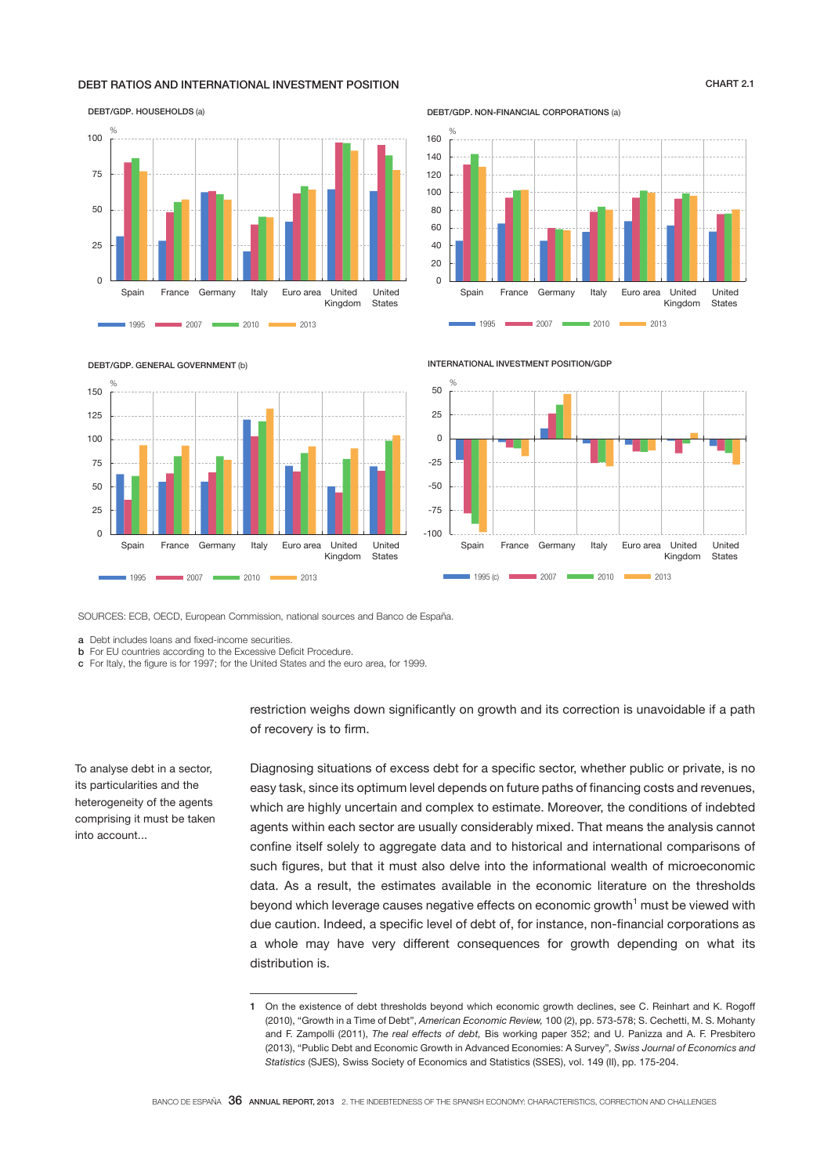## DEBT RATIOS AND INTERNATIONAL INVESTMENT POSITION CHART 2.1

# $\overline{0}$  $25$ 50 75 100 Spain France Germany Italy Euro area United Kingdom United **States 1995 2007 2007 2010 2010** 2013 %

DEBT/GDP. NON-FINANCIAL CORPORATIONS (a)



DEBT/GDP. GENERAL GOVERNMENT (b)

DEBT/GDP. HOUSEHOLDS (a)



INTERNATIONAL INVESTMENT POSITION/GDP



SOURCES: ECB, OECD, European Commission, national sources and Banco de España.

a Debt includes loans and fixed-income securities.

**b** For EU countries according to the Excessive Deficit Procedure.

c For Italy, the figure is for 1997; for the United States and the euro area, for 1999.

restriction weighs down significantly on growth and its correction is unavoidable if a path of recovery is to firm.

Diagnosing situations of excess debt for a specific sector, whether public or private, is no easy task, since its optimum level depends on future paths of financing costs and revenues, which are highly uncertain and complex to estimate. Moreover, the conditions of indebted agents within each sector are usually considerably mixed. That means the analysis cannot confine itself solely to aggregate data and to historical and international comparisons of such figures, but that it must also delve into the informational wealth of microeconomic data. As a result, the estimates available in the economic literature on the thresholds beyond which leverage causes negative effects on economic growth<sup>1</sup> must be viewed with due caution. Indeed, a specific level of debt of, for instance, non-financial corporations as a whole may have very different consequences for growth depending on what its distribution is.

To analyse debt in a sector, its particularities and the heterogeneity of the agents comprising it must be taken into account...

BANCO DE ESPAÑA 36 ANNUAL REPORT, 2013 2. THE INDEBTEDNESS OF THE SPANISH ECONOMY: CHARACTERISTICS, CORRECTION AND CHALLENGES

<sup>1</sup> On the existence of debt thresholds beyond which economic growth declines, see C. Reinhart and K. Rogoff (2010), "Growth in a Time of Debt", *American Economic Review,* 100 (2), pp. 573-578; S. Cechetti, M. S. Mohanty and F. Zampolli (2011), *The real effects of debt,* Bis working paper 352; and U. Panizza and A. F. Presbitero (2013), "Public Debt and Economic Growth in Advanced Economies: A Survey"*, Swiss Journal of Economics and Statistics* (SJES), Swiss Society of Economics and Statistics (SSES), vol. 149 (II), pp. 175-204.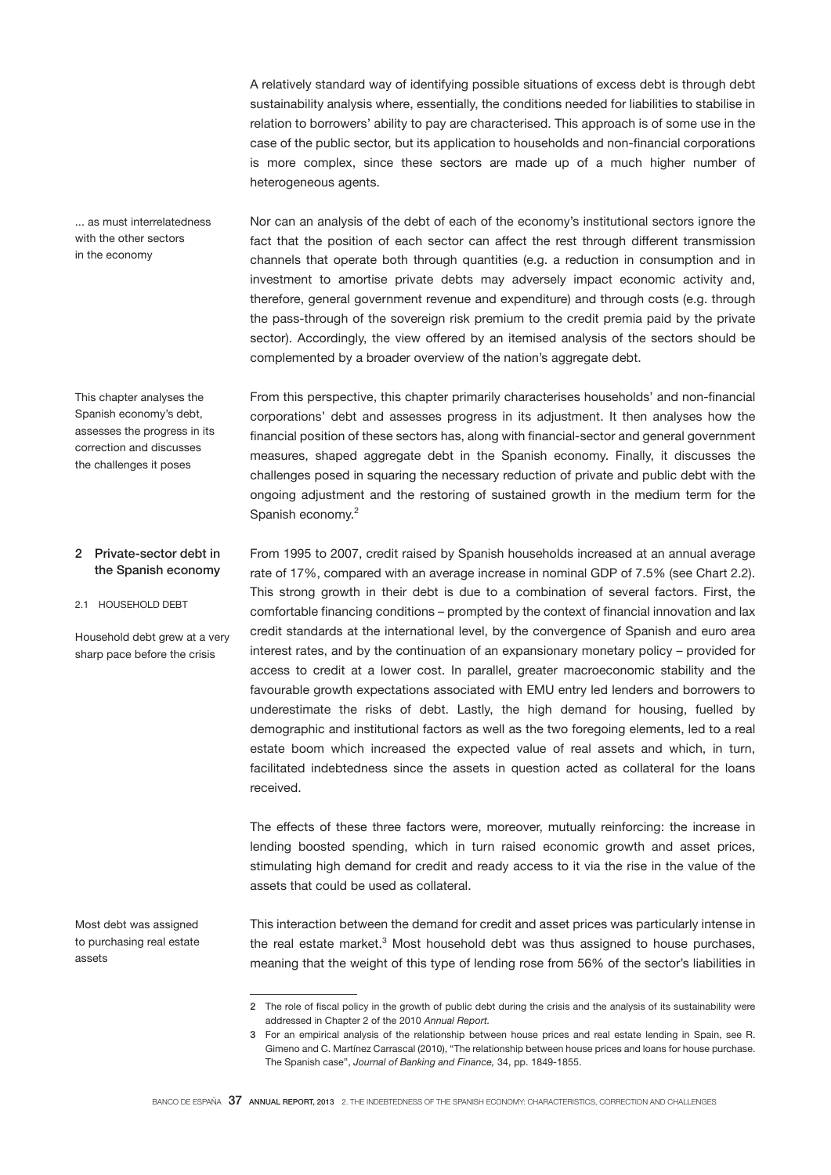A relatively standard way of identifying possible situations of excess debt is through debt sustainability analysis where, essentially, the conditions needed for liabilities to stabilise in relation to borrowers' ability to pay are characterised. This approach is of some use in the case of the public sector, but its application to households and non-financial corporations is more complex, since these sectors are made up of a much higher number of heterogeneous agents.

... as must interrelatedness with the other sectors in the economy

This chapter analyses the Spanish economy's debt, assesses the progress in its correction and discusses the challenges it poses

Nor can an analysis of the debt of each of the economy's institutional sectors ignore the fact that the position of each sector can affect the rest through different transmission channels that operate both through quantities (e.g. a reduction in consumption and in investment to amortise private debts may adversely impact economic activity and, therefore, general government revenue and expenditure) and through costs (e.g. through the pass-through of the sovereign risk premium to the credit premia paid by the private sector). Accordingly, the view offered by an itemised analysis of the sectors should be complemented by a broader overview of the nation's aggregate debt.

From this perspective, this chapter primarily characterises households' and non-financial corporations' debt and assesses progress in its adjustment. It then analyses how the financial position of these sectors has, along with financial-sector and general government measures, shaped aggregate debt in the Spanish economy. Finally, it discusses the challenges posed in squaring the necessary reduction of private and public debt with the ongoing adjustment and the restoring of sustained growth in the medium term for the Spanish economy.<sup>2</sup>

From 1995 to 2007, credit raised by Spanish households increased at an annual average rate of 17%, compared with an average increase in nominal GDP of 7.5% (see Chart 2.2). This strong growth in their debt is due to a combination of several factors. First, the comfortable financing conditions – prompted by the context of financial innovation and lax credit standards at the international level, by the convergence of Spanish and euro area interest rates, and by the continuation of an expansionary monetary policy – provided for access to credit at a lower cost. In parallel, greater macroeconomic stability and the favourable growth expectations associated with EMU entry led lenders and borrowers to underestimate the risks of debt. Lastly, the high demand for housing, fuelled by demographic and institutional factors as well as the two foregoing elements, led to a real estate boom which increased the expected value of real assets and which, in turn, facilitated indebtedness since the assets in question acted as collateral for the loans received. 2 Private-sector debt in the Spanish economy 2.1 HOUSEHOLD DEBT Household debt grew at a very sharp pace before the crisis

> The effects of these three factors were, moreover, mutually reinforcing: the increase in lending boosted spending, which in turn raised economic growth and asset prices, stimulating high demand for credit and ready access to it via the rise in the value of the assets that could be used as collateral.

Most debt was assigned to purchasing real estate assets

This interaction between the demand for credit and asset prices was particularly intense in the real estate market.<sup>3</sup> Most household debt was thus assigned to house purchases, meaning that the weight of this type of lending rose from 56% of the sector's liabilities in

<sup>2</sup> The role of fiscal policy in the growth of public debt during the crisis and the analysis of its sustainability were addressed in Chapter 2 of the 2010 *Annual Report.*

<sup>3</sup> For an empirical analysis of the relationship between house prices and real estate lending in Spain, see R. Gimeno and C. Martínez Carrascal (2010), "The relationship between house prices and loans for house purchase. The Spanish case", *Journal of Banking and Finance,* 34, pp. 1849-1855.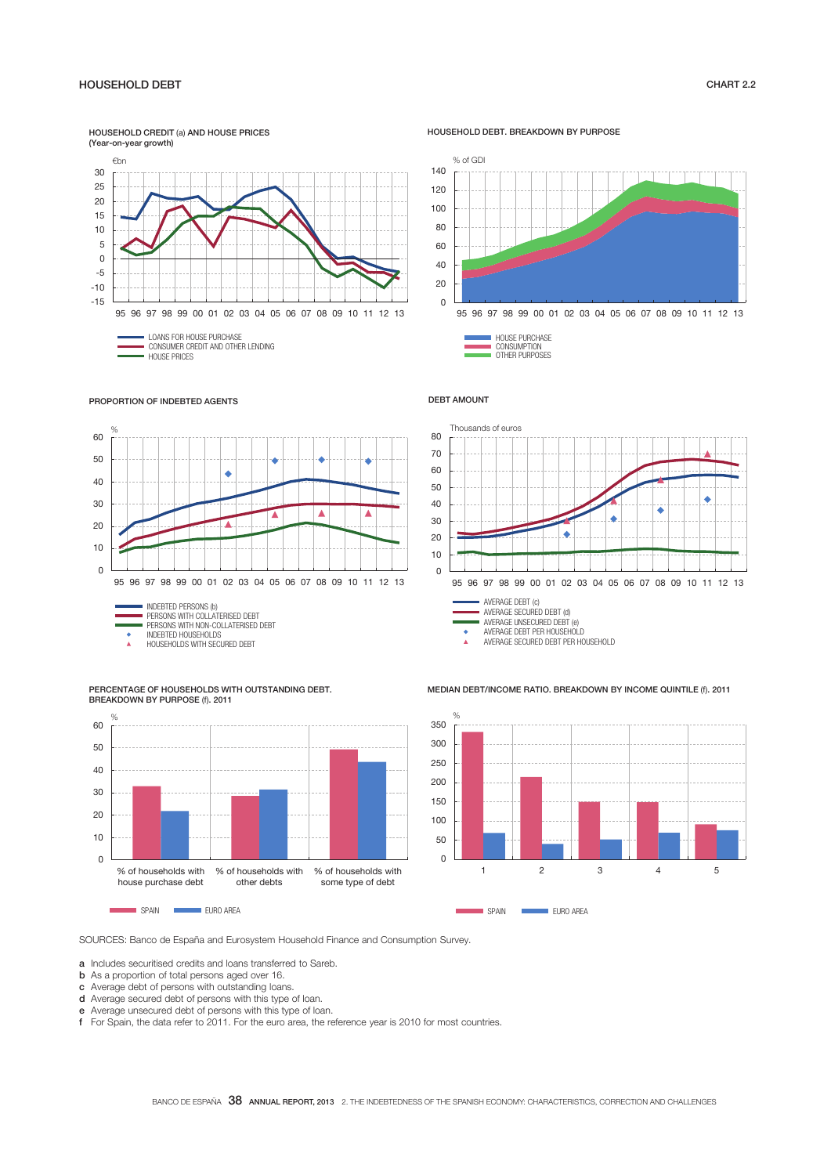## -15  $-10$ -5 0 5 10 15 20 25 30 95 96 97 98 99 00 01 02 03 04 05 06 07 08 09 10 11 12 13 LOANS FOR HOUSE PURCHASE CONSUMER CREDIT AND OTHER LENDING HOUSE PRICES HOUSEHOLD CREDIT (a) AND HOUSE PRICES (Year-on-year growth) €bn

HOUSEHOLD DEBT. BREAKDOWN BY PURPOSE



 HOUSE PURCHASE CONSUMPTION OTHER PURPOSES

Thousands of euros

#### DEBT AMOUNT

80





70 60 50 k  $40$ ٠ 30  $\bullet$ ٠ 20 10 0 95 96 97 98 99 00 01 02 03 04 05 06 07 08 09 10 11 12 13 AVERAGE DEBT (c) AVERAGE SECURED DEBT (d) AVERAGE UNSECURED DEBT (e) AVERAGE DEBT PER HOUSEHOLD

AVERAGE SECURED DEBT PER HOUSEHOLD

SPAIN **EURO AREA** 

MEDIAN DEBT/INCOME RATIO. BREAKDOWN BY INCOME QUINTILE (f). 2011



PERCENTAGE OF HOUSEHOLDS WITH OUTSTANDING DEBT. BREAKDOWN BY PURPOSE (f). 2011



SOURCES: Banco de España and Eurosystem Household Finance and Consumption Survey.

a Includes securitised credits and loans transferred to Sareb.

**b** As a proportion of total persons aged over 16.

c Average debt of persons with outstanding loans.

- d Average secured debt of persons with this type of loan.
- e Average unsecured debt of persons with this type of loan.

f For Spain, the data refer to 2011. For the euro area, the reference year is 2010 for most countries.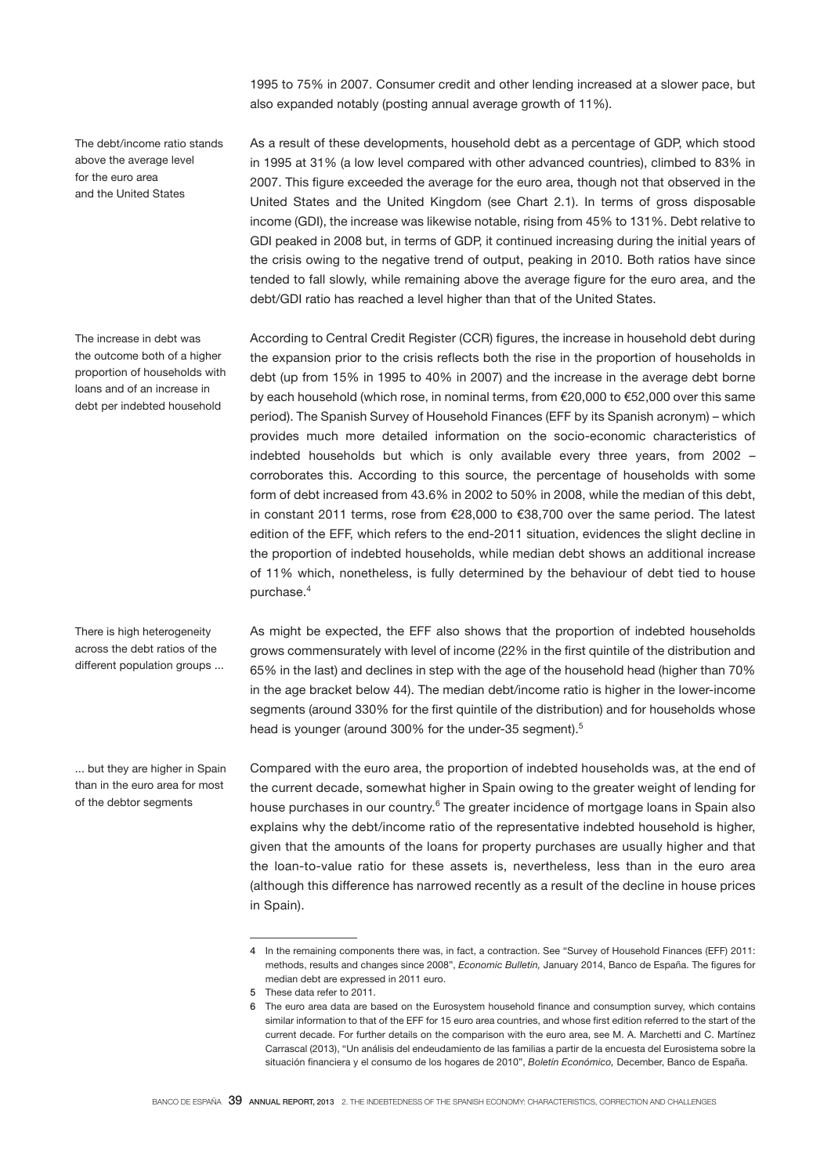1995 to 75% in 2007. Consumer credit and other lending increased at a slower pace, but also expanded notably (posting annual average growth of 11%).

The debt/income ratio stands above the average level for the euro area and the United States

The increase in debt was the outcome both of a higher proportion of households with loans and of an increase in debt per indebted household

There is high heterogeneity across the debt ratios of the different population groups ...

... but they are higher in Spain than in the euro area for most of the debtor segments

As a result of these developments, household debt as a percentage of GDP, which stood in 1995 at 31% (a low level compared with other advanced countries), climbed to 83% in 2007. This figure exceeded the average for the euro area, though not that observed in the United States and the United Kingdom (see Chart 2.1). In terms of gross disposable income (GDI), the increase was likewise notable, rising from 45% to 131%. Debt relative to GDI peaked in 2008 but, in terms of GDP, it continued increasing during the initial years of the crisis owing to the negative trend of output, peaking in 2010. Both ratios have since tended to fall slowly, while remaining above the average figure for the euro area, and the debt/GDI ratio has reached a level higher than that of the United States.

According to Central Credit Register (CCR) figures, the increase in household debt during the expansion prior to the crisis reflects both the rise in the proportion of households in debt (up from 15% in 1995 to 40% in 2007) and the increase in the average debt borne by each household (which rose, in nominal terms, from  $\epsilon$ 20,000 to  $\epsilon$ 52,000 over this same period). The Spanish Survey of Household Finances (EFF by its Spanish acronym) – which provides much more detailed information on the socio-economic characteristics of indebted households but which is only available every three years, from 2002 – corroborates this. According to this source, the percentage of households with some form of debt increased from 43.6% in 2002 to 50% in 2008, while the median of this debt, in constant 2011 terms, rose from €28,000 to €38,700 over the same period. The latest edition of the EFF, which refers to the end-2011 situation, evidences the slight decline in the proportion of indebted households, while median debt shows an additional increase of 11% which, nonetheless, is fully determined by the behaviour of debt tied to house purchase.<sup>4</sup>

As might be expected, the EFF also shows that the proportion of indebted households grows commensurately with level of income (22% in the first quintile of the distribution and 65% in the last) and declines in step with the age of the household head (higher than 70% in the age bracket below 44). The median debt/income ratio is higher in the lower-income segments (around 330% for the first quintile of the distribution) and for households whose head is younger (around 300% for the under-35 segment).<sup>5</sup>

Compared with the euro area, the proportion of indebted households was, at the end of the current decade, somewhat higher in Spain owing to the greater weight of lending for house purchases in our country.<sup>6</sup> The greater incidence of mortgage loans in Spain also explains why the debt/income ratio of the representative indebted household is higher, given that the amounts of the loans for property purchases are usually higher and that the loan-to-value ratio for these assets is, nevertheless, less than in the euro area (although this difference has narrowed recently as a result of the decline in house prices in Spain).

<sup>4</sup> In the remaining components there was, in fact, a contraction. See "Survey of Household Finances (EFF) 2011: methods, results and changes since 2008", *Economic Bulletin,* January 2014, Banco de España. The figures for median debt are expressed in 2011 euro.

<sup>5</sup> These data refer to 2011.

<sup>6</sup> The euro area data are based on the Eurosystem household finance and consumption survey, which contains similar information to that of the EFF for 15 euro area countries, and whose first edition referred to the start of the current decade. For further details on the comparison with the euro area, see M. A. Marchetti and C. Martínez Carrascal (2013), "Un análisis del endeudamiento de las familias a partir de la encuesta del Eurosistema sobre la situación financiera y el consumo de los hogares de 2010", *Boletín Económico,* December, Banco de España.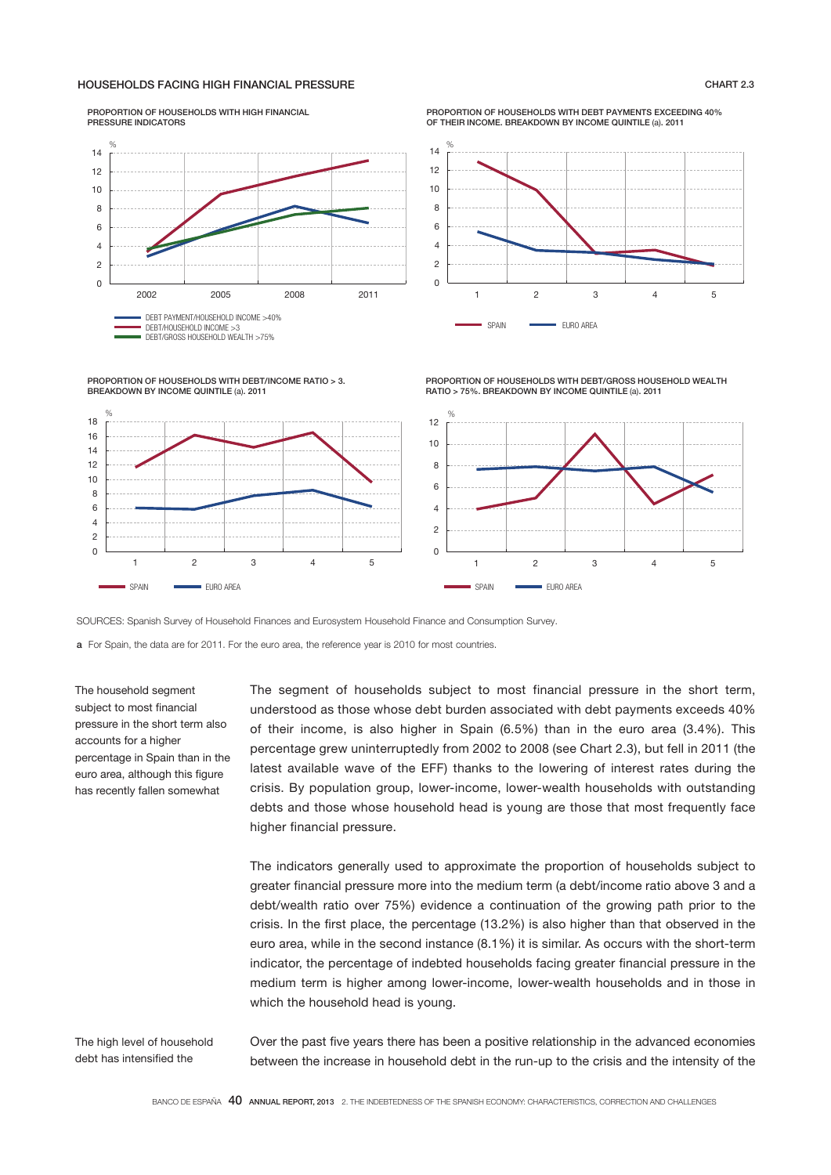## HOUSEHOLDS FACING HIGH FINANCIAL PRESSURE CHART 2.3

PROPORTION OF HOUSEHOLDS WITH DEBT/INCOME RATIO > 3.

BREAKDOWN BY INCOME QUINTILE (a). 2011

PROPORTION OF HOUSEHOLDS WITH HIGH FINANCIAL PRESSURE INDICATORS



PROPORTION OF HOUSEHOLDS WITH DEBT PAYMENTS EXCEEDING 40% OF THEIR INCOME. BREAKDOWN BY INCOME QUINTILE (a). 2011



PROPORTION OF HOUSEHOLDS WITH DEBT/GROSS HOUSEHOLD WEALTH RATIO > 75%. BREAKDOWN BY INCOME QUINTILE (a). 2011



SOURCES: Spanish Survey of Household Finances and Eurosystem Household Finance and Consumption Survey.

a For Spain, the data are for 2011. For the euro area, the reference year is 2010 for most countries.

1 2 3 4 5

The household segment subject to most financial pressure in the short term also accounts for a higher percentage in Spain than in the euro area, although this figure has recently fallen somewhat

SPAIN **EURO AREA** 

%

The segment of households subject to most financial pressure in the short term, understood as those whose debt burden associated with debt payments exceeds 40% of their income, is also higher in Spain (6.5%) than in the euro area (3.4%). This percentage grew uninterruptedly from 2002 to 2008 (see Chart 2.3), but fell in 2011 (the latest available wave of the EFF) thanks to the lowering of interest rates during the crisis. By population group, lower-income, lower-wealth households with outstanding debts and those whose household head is young are those that most frequently face higher financial pressure.

The indicators generally used to approximate the proportion of households subject to greater financial pressure more into the medium term (a debt/income ratio above 3 and a debt/wealth ratio over 75%) evidence a continuation of the growing path prior to the crisis. In the first place, the percentage (13.2%) is also higher than that observed in the euro area, while in the second instance (8.1%) it is similar. As occurs with the short-term indicator, the percentage of indebted households facing greater financial pressure in the medium term is higher among lower-income, lower-wealth households and in those in which the household head is young.

The high level of household debt has intensified the

Over the past five years there has been a positive relationship in the advanced economies between the increase in household debt in the run-up to the crisis and the intensity of the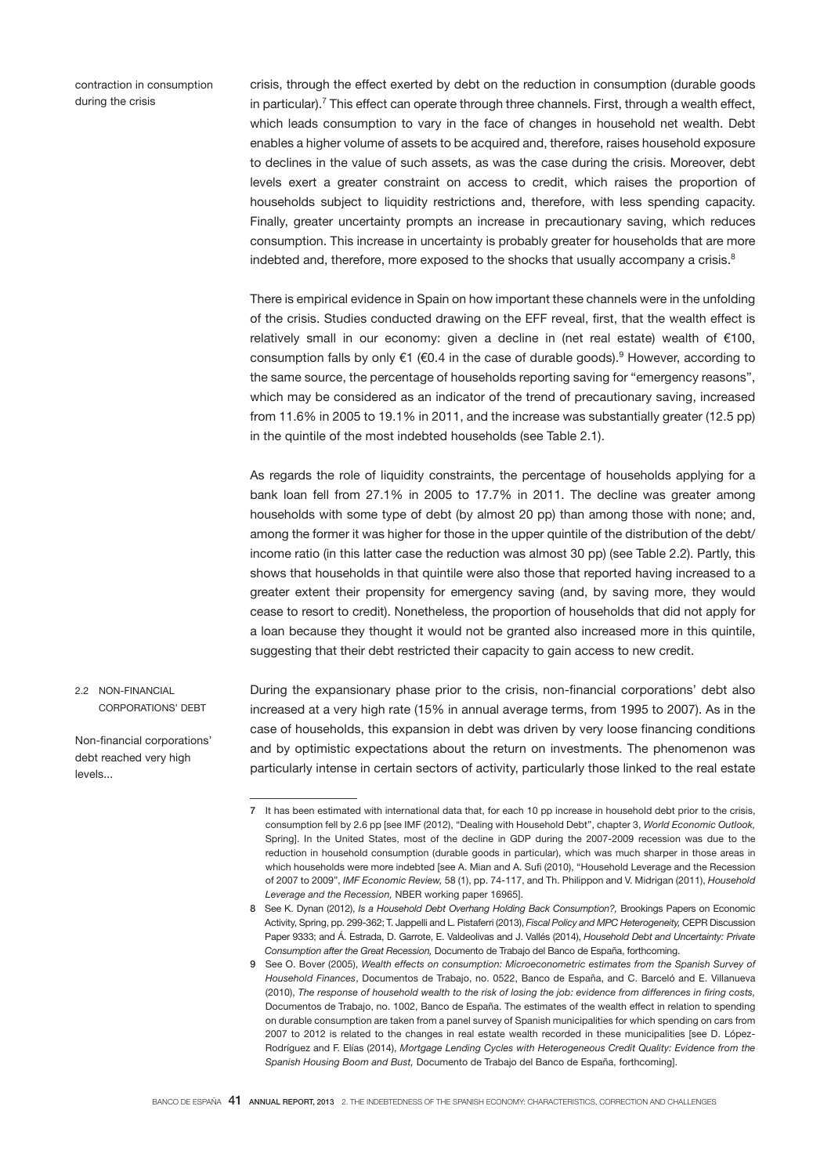contraction in consumption during the crisis

crisis, through the effect exerted by debt on the reduction in consumption (durable goods in particular).<sup>7</sup> This effect can operate through three channels. First, through a wealth effect, which leads consumption to vary in the face of changes in household net wealth. Debt enables a higher volume of assets to be acquired and, therefore, raises household exposure to declines in the value of such assets, as was the case during the crisis. Moreover, debt levels exert a greater constraint on access to credit, which raises the proportion of households subject to liquidity restrictions and, therefore, with less spending capacity. Finally, greater uncertainty prompts an increase in precautionary saving, which reduces consumption. This increase in uncertainty is probably greater for households that are more indebted and, therefore, more exposed to the shocks that usually accompany a crisis.<sup>8</sup>

There is empirical evidence in Spain on how important these channels were in the unfolding of the crisis. Studies conducted drawing on the EFF reveal, first, that the wealth effect is relatively small in our economy: given a decline in (net real estate) wealth of €100, consumption falls by only €1 (€0.4 in the case of durable goods).<sup>9</sup> However, according to the same source, the percentage of households reporting saving for "emergency reasons", which may be considered as an indicator of the trend of precautionary saving, increased from 11.6% in 2005 to 19.1% in 2011, and the increase was substantially greater (12.5 pp) in the quintile of the most indebted households (see Table 2.1).

As regards the role of liquidity constraints, the percentage of households applying for a bank loan fell from 27.1% in 2005 to 17.7% in 2011. The decline was greater among households with some type of debt (by almost 20 pp) than among those with none; and, among the former it was higher for those in the upper quintile of the distribution of the debt/ income ratio (in this latter case the reduction was almost 30 pp) (see Table 2.2). Partly, this shows that households in that quintile were also those that reported having increased to a greater extent their propensity for emergency saving (and, by saving more, they would cease to resort to credit). Nonetheless, the proportion of households that did not apply for a loan because they thought it would not be granted also increased more in this quintile, suggesting that their debt restricted their capacity to gain access to new credit.

2.2 NON-FINANCIAL CORPORATIONS' DEBT

Non-financial corporations' debt reached very high levels...

During the expansionary phase prior to the crisis, non-financial corporations' debt also increased at a very high rate (15% in annual average terms, from 1995 to 2007). As in the case of households, this expansion in debt was driven by very loose financing conditions and by optimistic expectations about the return on investments. The phenomenon was particularly intense in certain sectors of activity, particularly those linked to the real estate

<sup>7</sup> It has been estimated with international data that, for each 10 pp increase in household debt prior to the crisis, consumption fell by 2.6 pp [see IMF (2012), "Dealing with Household Debt", chapter 3, *World Economic Outlook,*  Spring]. In the United States, most of the decline in GDP during the 2007-2009 recession was due to the reduction in household consumption (durable goods in particular), which was much sharper in those areas in which households were more indebted [see A. Mian and A. Sufi (2010), "Household Leverage and the Recession of 2007 to 2009", *IMF Economic Review,* 58 (1), pp. 74-117, and Th. Philippon and V. Midrigan (2011), *Household Leverage and the Recession,* NBER working paper 16965].

<sup>8</sup> See K. Dynan (2012), *Is a Household Debt Overhang Holding Back Consumption?*, Brookings Papers on Economic Activity, Spring, pp. 299-362; T. Jappelli and L. Pistaferri (2013), *Fiscal Policy and MPC Heterogeneity,* CEPR Discussion Paper 9333; and Á. Estrada, D. Garrote, E. Valdeolivas and J. Vallés (2014), *Household Debt and Uncertainty: Private Consumption after the Great Recession,* Documento de Trabajo del Banco de España, forthcoming.

<sup>9</sup> See O. Bover (2005), *Wealth effects on consumption: Microeconometric estimates from the Spanish Survey of Household Finances*, Documentos de Trabajo, no. 0522, Banco de España, and C. Barceló and E. Villanueva (2010), *The response of household wealth to the risk of losing the job: evidence from differences in firing costs,*  Documentos de Trabajo, no. 1002, Banco de España. The estimates of the wealth effect in relation to spending on durable consumption are taken from a panel survey of Spanish municipalities for which spending on cars from 2007 to 2012 is related to the changes in real estate wealth recorded in these municipalities [see D. López-Rodríguez and F. Elías (2014), *Mortgage Lending Cycles with Heterogeneous Credit Quality: Evidence from the Spanish Housing Boom and Bust,* Documento de Trabajo del Banco de España, forthcoming].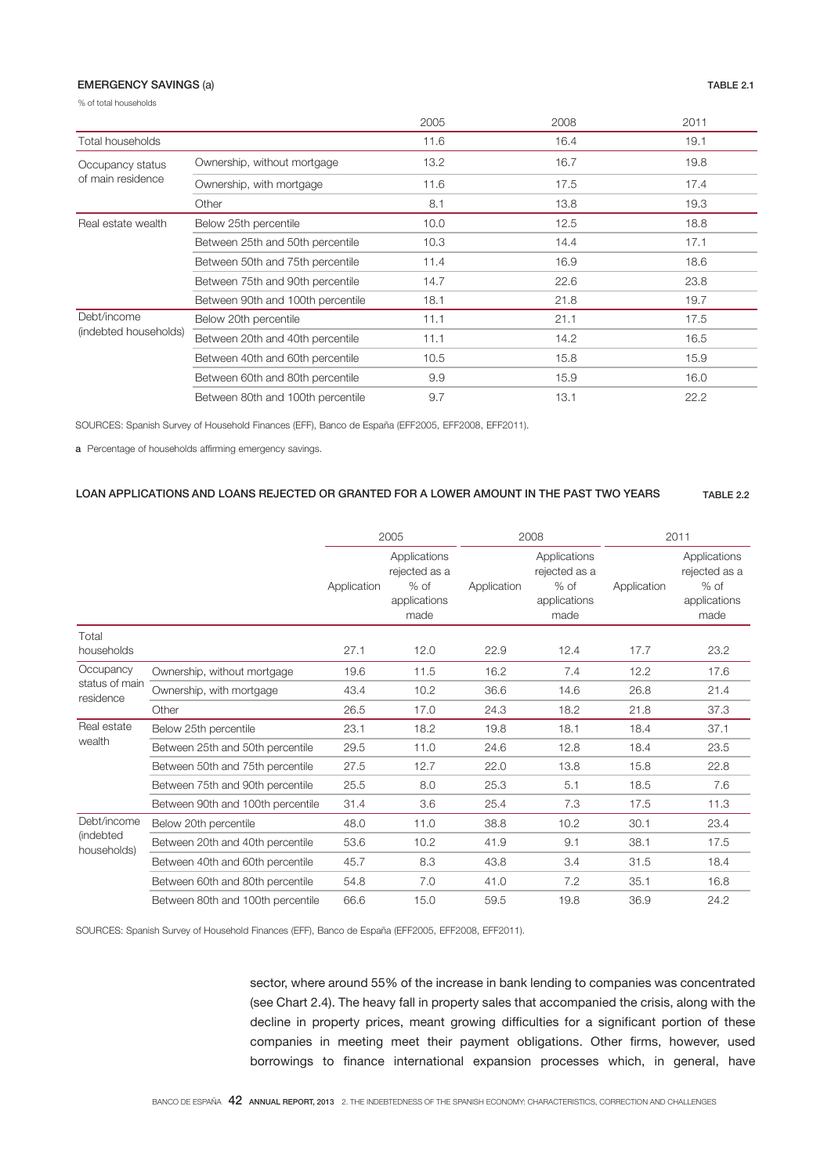## EMERGENCY SAVINGS (a) TABLE 2.1

% of total households

|                                       |                                   | 2005 | 2008 | 2011 |
|---------------------------------------|-----------------------------------|------|------|------|
| Total households                      |                                   | 11.6 | 16.4 | 19.1 |
| Occupancy status<br>of main residence | Ownership, without mortgage       | 13.2 | 16.7 | 19.8 |
|                                       | Ownership, with mortgage          | 11.6 | 17.5 | 17.4 |
|                                       | Other                             | 8.1  | 13.8 | 19.3 |
| Real estate wealth                    | Below 25th percentile             | 10.0 | 12.5 | 18.8 |
|                                       | Between 25th and 50th percentile  | 10.3 | 14.4 | 17.1 |
|                                       | Between 50th and 75th percentile  | 11.4 | 16.9 | 18.6 |
|                                       | Between 75th and 90th percentile  | 14.7 | 22.6 | 23.8 |
|                                       | Between 90th and 100th percentile | 18.1 | 21.8 | 19.7 |
| Debt/income<br>(indebted households)  | Below 20th percentile             | 11.1 | 21.1 | 17.5 |
|                                       | Between 20th and 40th percentile  | 11.1 | 14.2 | 16.5 |
|                                       | Between 40th and 60th percentile  | 10.5 | 15.8 | 15.9 |
|                                       | Between 60th and 80th percentile  | 9.9  | 15.9 | 16.0 |
|                                       | Between 80th and 100th percentile | 9.7  | 13.1 | 22.2 |

SOURCES: Spanish Survey of Household Finances (EFF), Banco de España (EFF2005, EFF2008, EFF2011).

a Percentage of households affirming emergency savings.

## LOAN APPLICATIONS AND LOANS REJECTED OR GRANTED FOR A LOWER AMOUNT IN THE PAST TWO YEARS TABLE 2.2

|                                          |                                   | 2005        |                                                                 | 2008        |                                                                 | 2011        |                                                                 |
|------------------------------------------|-----------------------------------|-------------|-----------------------------------------------------------------|-------------|-----------------------------------------------------------------|-------------|-----------------------------------------------------------------|
|                                          |                                   | Application | Applications<br>rejected as a<br>$%$ of<br>applications<br>made | Application | Applications<br>rejected as a<br>$%$ of<br>applications<br>made | Application | Applications<br>rejected as a<br>$%$ of<br>applications<br>made |
| Total<br>households                      |                                   | 27.1        | 12.0                                                            | 22.9        | 12.4                                                            | 17.7        | 23.2                                                            |
| Occupancy<br>status of main<br>residence | Ownership, without mortgage       | 19.6        | 11.5                                                            | 16.2        | 7.4                                                             | 12.2        | 17.6                                                            |
|                                          | Ownership, with mortgage          | 43.4        | 10.2                                                            | 36.6        | 14.6                                                            | 26.8        | 21.4                                                            |
|                                          | Other                             | 26.5        | 17.0                                                            | 24.3        | 18.2                                                            | 21.8        | 37.3                                                            |
| Real estate<br>wealth                    | Below 25th percentile             | 23.1        | 18.2                                                            | 19.8        | 18.1                                                            | 18.4        | 37.1                                                            |
|                                          | Between 25th and 50th percentile  | 29.5        | 11.0                                                            | 24.6        | 12.8                                                            | 18.4        | 23.5                                                            |
|                                          | Between 50th and 75th percentile  | 27.5        | 12.7                                                            | 22.0        | 13.8                                                            | 15.8        | 22.8                                                            |
|                                          | Between 75th and 90th percentile  | 25.5        | 8.0                                                             | 25.3        | 5.1                                                             | 18.5        | 7.6                                                             |
|                                          | Between 90th and 100th percentile | 31.4        | 3.6                                                             | 25.4        | 7.3                                                             | 17.5        | 11.3                                                            |
| Debt/income<br>(indebted<br>households)  | Below 20th percentile             | 48.0        | 11.0                                                            | 38.8        | 10.2                                                            | 30.1        | 23.4                                                            |
|                                          | Between 20th and 40th percentile  | 53.6        | 10.2                                                            | 41.9        | 9.1                                                             | 38.1        | 17.5                                                            |
|                                          | Between 40th and 60th percentile  | 45.7        | 8.3                                                             | 43.8        | 3.4                                                             | 31.5        | 18.4                                                            |
|                                          | Between 60th and 80th percentile  | 54.8        | 7.0                                                             | 41.0        | 7.2                                                             | 35.1        | 16.8                                                            |
|                                          | Between 80th and 100th percentile | 66.6        | 15.0                                                            | 59.5        | 19.8                                                            | 36.9        | 24.2                                                            |

SOURCES: Spanish Survey of Household Finances (EFF), Banco de España (EFF2005, EFF2008, EFF2011).

sector, where around 55% of the increase in bank lending to companies was concentrated (see Chart 2.4). The heavy fall in property sales that accompanied the crisis, along with the decline in property prices, meant growing difficulties for a significant portion of these companies in meeting meet their payment obligations. Other firms, however, used borrowings to finance international expansion processes which, in general, have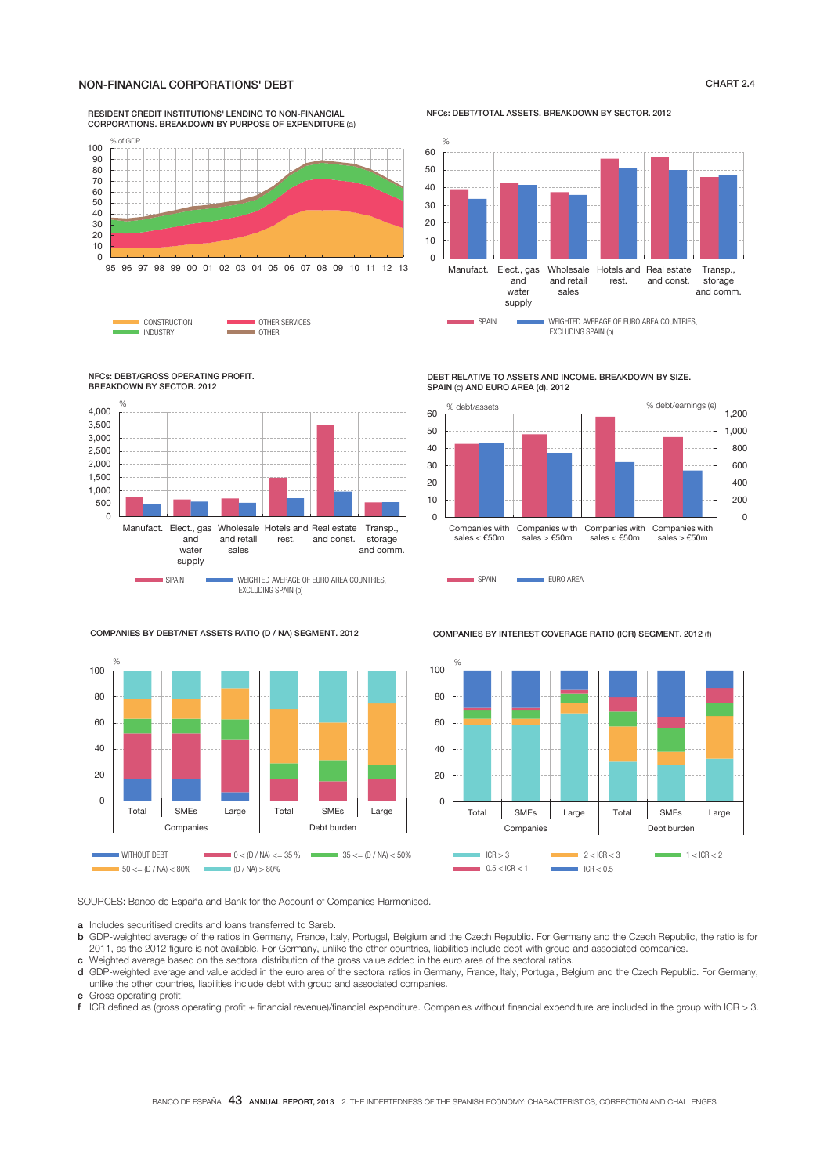## NON-FINANCIAL CORPORATIONS' DEBT CHART 2.4

# RESIDENT CREDIT INSTITUTIONS' LENDING TO NON-FINANCIAL CORPORATIONS. BREAKDOWN BY PURPOSE OF EXPENDITURE (a)



**CONSTRUCTION CONSTRUCTION** OTHER SERVICES INDUSTRY

NFCs: DEBT/TOTAL ASSETS. BREAKDOWN BY SECTOR. 2012



NFCs: DEBT/GROSS OPERATING PROFIT. BREAKDOWN BY SECTOR. 2012



DEBT RELATIVE TO ASSETS AND INCOME. BREAKDOWN BY SIZE. SPAIN (c) AND EURO AREA (d). 2012



COMPANIES BY DEBT/NET ASSETS RATIO (D / NA) SEGMENT. 2012



COMPANIES BY INTEREST COVERAGE RATIO (ICR) SEGMENT. 2012 (f)

SPAIN **EURO AREA** 



SOURCES: Banco de España and Bank for the Account of Companies Harmonised.

a Includes securitised credits and loans transferred to Sareb.

- b GDP-weighted average of the ratios in Germany, France, Italy, Portugal, Belgium and the Czech Republic. For Germany and the Czech Republic, the ratio is for 2011, as the 2012 figure is not available. For Germany, unlike the other countries, liabilities include debt with group and associated companies. c Weighted average based on the sectoral distribution of the gross value added in the euro area of the sectoral ratios.
- d GDP-weighted average and value added in the euro area of the sectoral ratios in Germany, France, Italy, Portugal, Belgium and the Czech Republic. For Germany, unlike the other countries, liabilities include debt with group and associated companies.
- e Gross operating profit.<br>f ICR defined as (gross
- ICR defined as (gross operating profit + financial revenue)/financial expenditure. Companies without financial expenditure are included in the group with ICR > 3.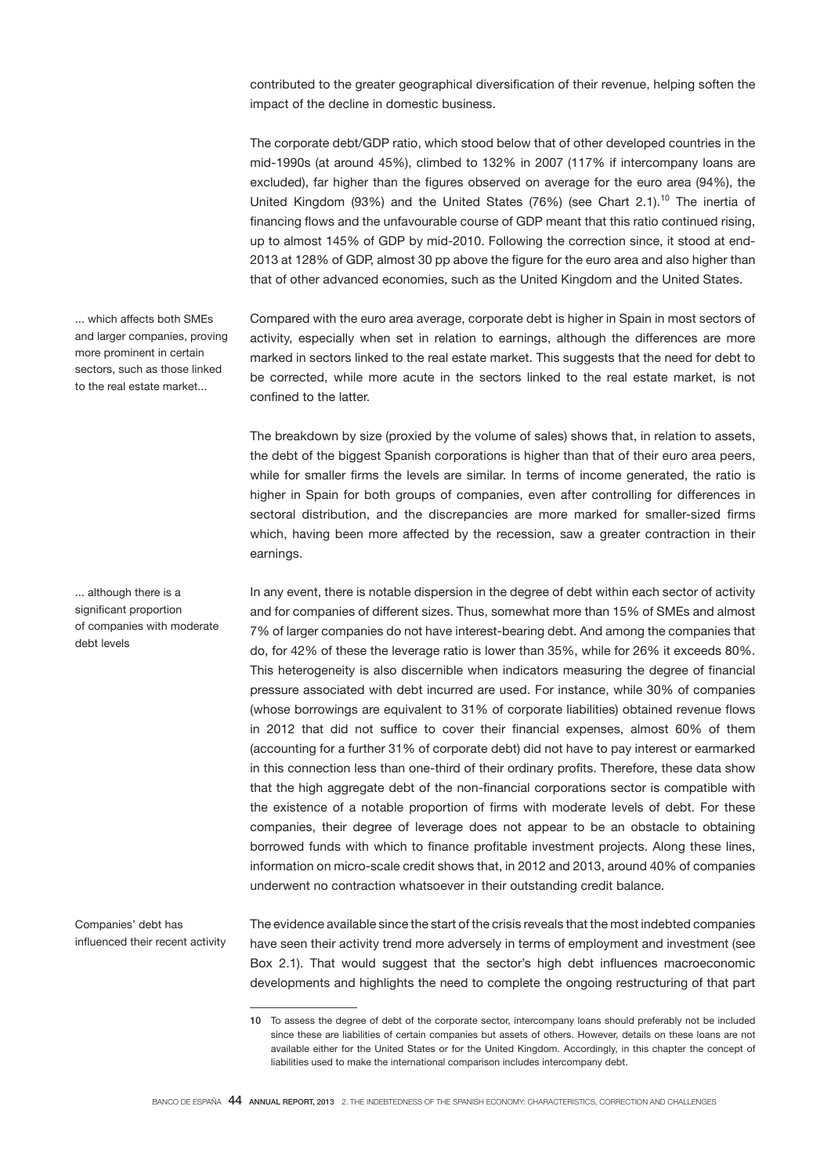contributed to the greater geographical diversification of their revenue, helping soften the impact of the decline in domestic business.

The corporate debt/GDP ratio, which stood below that of other developed countries in the mid-1990s (at around 45%), climbed to 132% in 2007 (117% if intercompany loans are excluded), far higher than the figures observed on average for the euro area (94%), the United Kingdom (93%) and the United States (76%) (see Chart 2.1).<sup>10</sup> The inertia of financing flows and the unfavourable course of GDP meant that this ratio continued rising, up to almost 145% of GDP by mid-2010. Following the correction since, it stood at end-2013 at 128% of GDP, almost 30 pp above the figure for the euro area and also higher than that of other advanced economies, such as the United Kingdom and the United States.

Compared with the euro area average, corporate debt is higher in Spain in most sectors of activity, especially when set in relation to earnings, although the differences are more marked in sectors linked to the real estate market. This suggests that the need for debt to be corrected, while more acute in the sectors linked to the real estate market, is not confined to the latter.

The breakdown by size (proxied by the volume of sales) shows that, in relation to assets, the debt of the biggest Spanish corporations is higher than that of their euro area peers, while for smaller firms the levels are similar. In terms of income generated, the ratio is higher in Spain for both groups of companies, even after controlling for differences in sectoral distribution, and the discrepancies are more marked for smaller-sized firms which, having been more affected by the recession, saw a greater contraction in their earnings.

In any event, there is notable dispersion in the degree of debt within each sector of activity and for companies of different sizes. Thus, somewhat more than 15% of SMEs and almost 7% of larger companies do not have interest-bearing debt. And among the companies that do, for 42% of these the leverage ratio is lower than 35%, while for 26% it exceeds 80%. This heterogeneity is also discernible when indicators measuring the degree of financial pressure associated with debt incurred are used. For instance, while 30% of companies (whose borrowings are equivalent to 31% of corporate liabilities) obtained revenue flows in 2012 that did not suffice to cover their financial expenses, almost 60% of them (accounting for a further 31% of corporate debt) did not have to pay interest or earmarked in this connection less than one-third of their ordinary profits. Therefore, these data show that the high aggregate debt of the non-financial corporations sector is compatible with the existence of a notable proportion of firms with moderate levels of debt. For these companies, their degree of leverage does not appear to be an obstacle to obtaining borrowed funds with which to finance profitable investment projects. Along these lines, information on micro-scale credit shows that, in 2012 and 2013, around 40% of companies underwent no contraction whatsoever in their outstanding credit balance.

Companies' debt has influenced their recent activity The evidence available since the start of the crisis reveals that the most indebted companies have seen their activity trend more adversely in terms of employment and investment (see Box 2.1). That would suggest that the sector's high debt influences macroeconomic developments and highlights the need to complete the ongoing restructuring of that part

... which affects both SMEs and larger companies, proving more prominent in certain sectors, such as those linked to the real estate market...

... although there is a significant proportion of companies with moderate debt levels

<sup>10</sup> To assess the degree of debt of the corporate sector, intercompany loans should preferably not be included since these are liabilities of certain companies but assets of others. However, details on these loans are not available either for the United States or for the United Kingdom. Accordingly, in this chapter the concept of liabilities used to make the international comparison includes intercompany debt.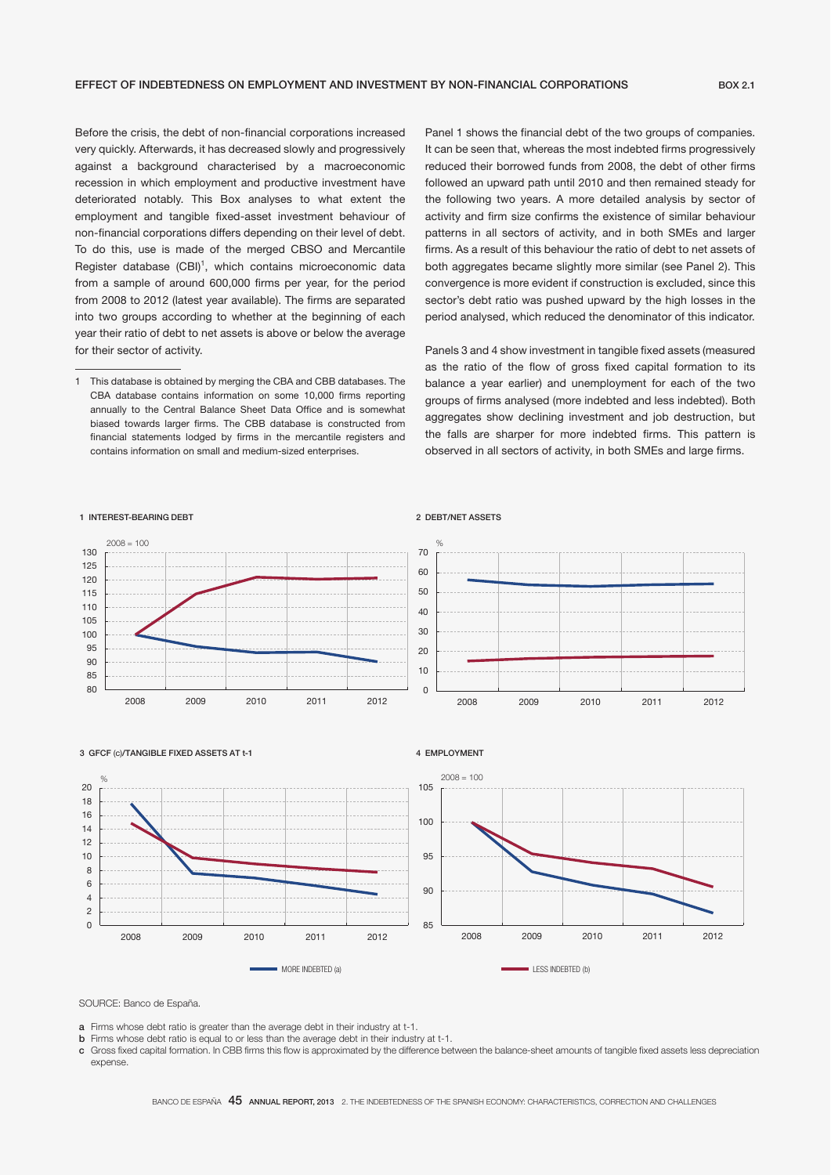Before the crisis, the debt of non-financial corporations increased very quickly. Afterwards, it has decreased slowly and progressively against a background characterised by a macroeconomic recession in which employment and productive investment have deteriorated notably. This Box analyses to what extent the employment and tangible fixed-asset investment behaviour of non-financial corporations differs depending on their level of debt. To do this, use is made of the merged CBSO and Mercantile Register database (CBI)<sup>1</sup>, which contains microeconomic data from a sample of around 600,000 firms per year, for the period from 2008 to 2012 (latest year available). The firms are separated into two groups according to whether at the beginning of each year their ratio of debt to net assets is above or below the average for their sector of activity.

Panel 1 shows the financial debt of the two groups of companies. It can be seen that, whereas the most indebted firms progressively reduced their borrowed funds from 2008, the debt of other firms followed an upward path until 2010 and then remained steady for the following two years. A more detailed analysis by sector of activity and firm size confirms the existence of similar behaviour patterns in all sectors of activity, and in both SMEs and larger firms. As a result of this behaviour the ratio of debt to net assets of both aggregates became slightly more similar (see Panel 2). This convergence is more evident if construction is excluded, since this sector's debt ratio was pushed upward by the high losses in the period analysed, which reduced the denominator of this indicator.

Panels 3 and 4 show investment in tangible fixed assets (measured as the ratio of the flow of gross fixed capital formation to its balance a year earlier) and unemployment for each of the two groups of firms analysed (more indebted and less indebted). Both aggregates show declining investment and job destruction, but the falls are sharper for more indebted firms. This pattern is observed in all sectors of activity, in both SMEs and large firms.

#### 1 INTEREST-BEARING DEBT

#### 2 DEBT/NET ASSETS



#### 3 GFCF (c)/TANGIBLE FIXED ASSETS AT t-1

#### 4 EMPLOYMENT



SOURCE: Banco de España.

%

- a Firms whose debt ratio is greater than the average debt in their industry at t-1.
- **b** Firms whose debt ratio is equal to or less than the average debt in their industry at t-1.
- c Gross fixed capital formation. In CBB firms this flow is approximated by the difference between the balance-sheet amounts of tangible fixed assets less depreciation expense.

<sup>1</sup> This database is obtained by merging the CBA and CBB databases. The CBA database contains information on some 10,000 firms reporting annually to the Central Balance Sheet Data Office and is somewhat biased towards larger firms. The CBB database is constructed from financial statements lodged by firms in the mercantile registers and contains information on small and medium-sized enterprises.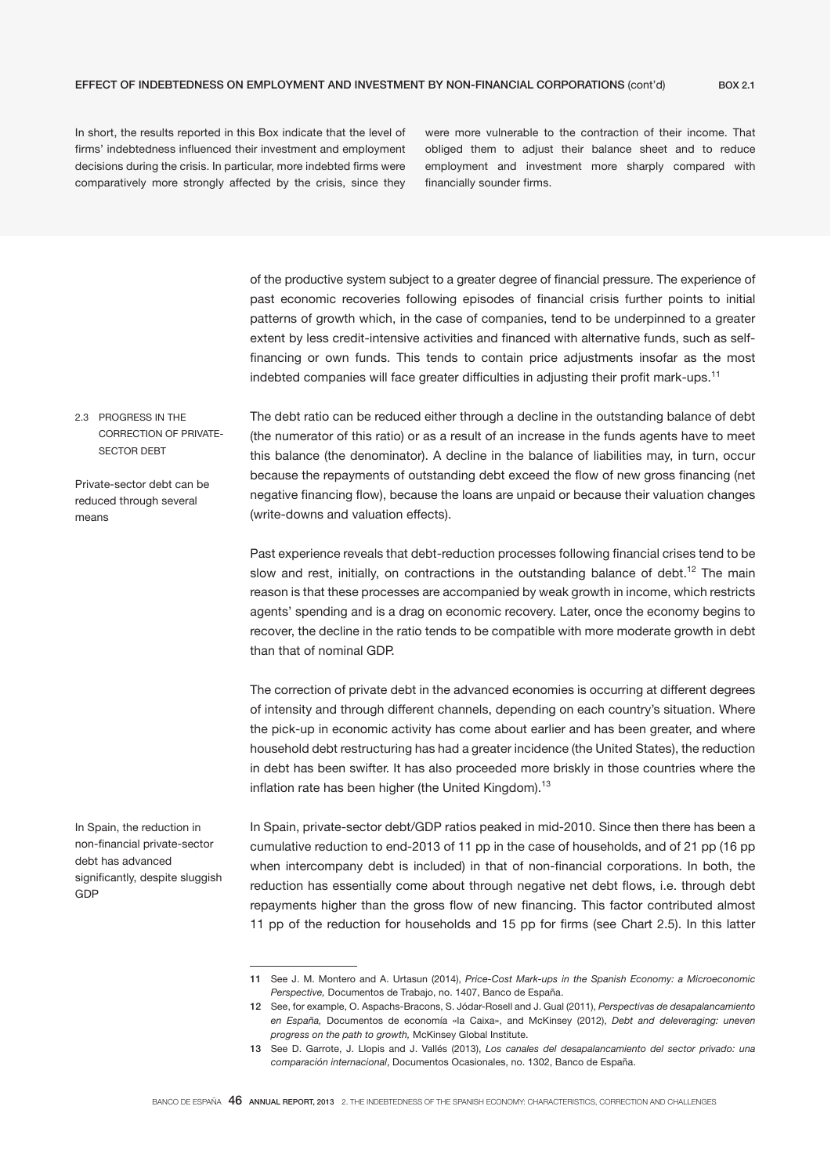In short, the results reported in this Box indicate that the level of firms' indebtedness influenced their investment and employment decisions during the crisis. In particular, more indebted firms were comparatively more strongly affected by the crisis, since they were more vulnerable to the contraction of their income. That obliged them to adjust their balance sheet and to reduce employment and investment more sharply compared with financially sounder firms.

of the productive system subject to a greater degree of financial pressure. The experience of past economic recoveries following episodes of financial crisis further points to initial patterns of growth which, in the case of companies, tend to be underpinned to a greater extent by less credit-intensive activities and financed with alternative funds, such as selffinancing or own funds. This tends to contain price adjustments insofar as the most indebted companies will face greater difficulties in adjusting their profit mark-ups.<sup>11</sup>

2.3 PROGRESS IN THE CORRECTION OF PRIVATE-SECTOR DEBT

Private-sector debt can be reduced through several means

The debt ratio can be reduced either through a decline in the outstanding balance of debt (the numerator of this ratio) or as a result of an increase in the funds agents have to meet this balance (the denominator). A decline in the balance of liabilities may, in turn, occur because the repayments of outstanding debt exceed the flow of new gross financing (net negative financing flow), because the loans are unpaid or because their valuation changes (write-downs and valuation effects).

Past experience reveals that debt-reduction processes following financial crises tend to be slow and rest, initially, on contractions in the outstanding balance of debt.<sup>12</sup> The main reason is that these processes are accompanied by weak growth in income, which restricts agents' spending and is a drag on economic recovery. Later, once the economy begins to recover, the decline in the ratio tends to be compatible with more moderate growth in debt than that of nominal GDP.

The correction of private debt in the advanced economies is occurring at different degrees of intensity and through different channels, depending on each country's situation. Where the pick-up in economic activity has come about earlier and has been greater, and where household debt restructuring has had a greater incidence (the United States), the reduction in debt has been swifter. It has also proceeded more briskly in those countries where the inflation rate has been higher (the United Kingdom).<sup>13</sup>

In Spain, the reduction in non-financial private-sector debt has advanced significantly, despite sluggish GDP

In Spain, private-sector debt/GDP ratios peaked in mid-2010. Since then there has been a cumulative reduction to end-2013 of 11 pp in the case of households, and of 21 pp (16 pp when intercompany debt is included) in that of non-financial corporations. In both, the reduction has essentially come about through negative net debt flows, i.e. through debt repayments higher than the gross flow of new financing. This factor contributed almost 11 pp of the reduction for households and 15 pp for firms (see Chart 2.5). In this latter

<sup>11</sup> See J. M. Montero and A. Urtasun (2014), *Price-Cost Mark-ups in the Spanish Economy: a Microeconomic Perspective,* Documentos de Trabajo, no. 1407, Banco de España.

<sup>12</sup> See, for example, O. Aspachs-Bracons, S. Jódar-Rosell and J. Gual (2011), *Perspectivas de desapalancamiento en España,* Documentos de economía «la Caixa», and McKinsey (2012), *Debt and deleveraging: uneven progress on the path to growth,* McKinsey Global Institute.

<sup>13</sup> See D. Garrote, J. Llopis and J. Vallés (2013), *Los canales del desapalancamiento del sector privado: una comparación internacional*, Documentos Ocasionales, no. 1302, Banco de España.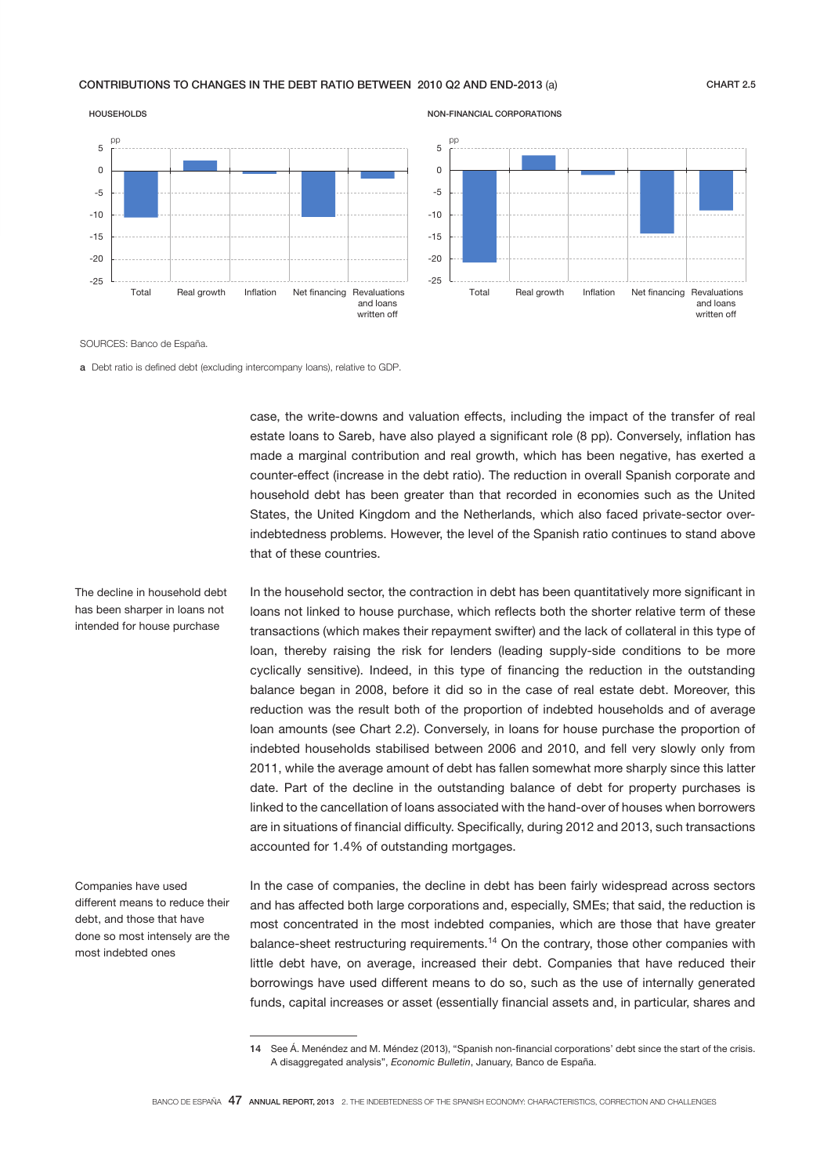## CONTRIBUTIONS TO CHANGES IN THE DEBT RATIO BETWEEN 2010 Q2 AND END-2013 (a) CHART 2.5





SOURCES: Banco de España.

The decline in household debt has been sharper in loans not intended for house purchase

a Debt ratio is defined debt (excluding intercompany loans), relative to GDP.

case, the write-downs and valuation effects, including the impact of the transfer of real estate loans to Sareb, have also played a significant role (8 pp). Conversely, inflation has made a marginal contribution and real growth, which has been negative, has exerted a counter-effect (increase in the debt ratio). The reduction in overall Spanish corporate and household debt has been greater than that recorded in economies such as the United States, the United Kingdom and the Netherlands, which also faced private-sector overindebtedness problems. However, the level of the Spanish ratio continues to stand above that of these countries.

NON-FINANCIAL CORPORATIONS

In the household sector, the contraction in debt has been quantitatively more significant in loans not linked to house purchase, which reflects both the shorter relative term of these transactions (which makes their repayment swifter) and the lack of collateral in this type of loan, thereby raising the risk for lenders (leading supply-side conditions to be more cyclically sensitive). Indeed, in this type of financing the reduction in the outstanding balance began in 2008, before it did so in the case of real estate debt. Moreover, this reduction was the result both of the proportion of indebted households and of average loan amounts (see Chart 2.2). Conversely, in loans for house purchase the proportion of indebted households stabilised between 2006 and 2010, and fell very slowly only from 2011, while the average amount of debt has fallen somewhat more sharply since this latter date. Part of the decline in the outstanding balance of debt for property purchases is linked to the cancellation of loans associated with the hand-over of houses when borrowers are in situations of financial difficulty. Specifically, during 2012 and 2013, such transactions accounted for 1.4% of outstanding mortgages.

Companies have used different means to reduce their debt, and those that have done so most intensely are the most indebted ones

In the case of companies, the decline in debt has been fairly widespread across sectors and has affected both large corporations and, especially, SMEs; that said, the reduction is most concentrated in the most indebted companies, which are those that have greater balance-sheet restructuring requirements.14 On the contrary, those other companies with little debt have, on average, increased their debt. Companies that have reduced their borrowings have used different means to do so, such as the use of internally generated funds, capital increases or asset (essentially financial assets and, in particular, shares and

<sup>14</sup> See Á. Menéndez and M. Méndez (2013), "Spanish non-financial corporations' debt since the start of the crisis. A disaggregated analysis", *Economic Bulletin*, January, Banco de España.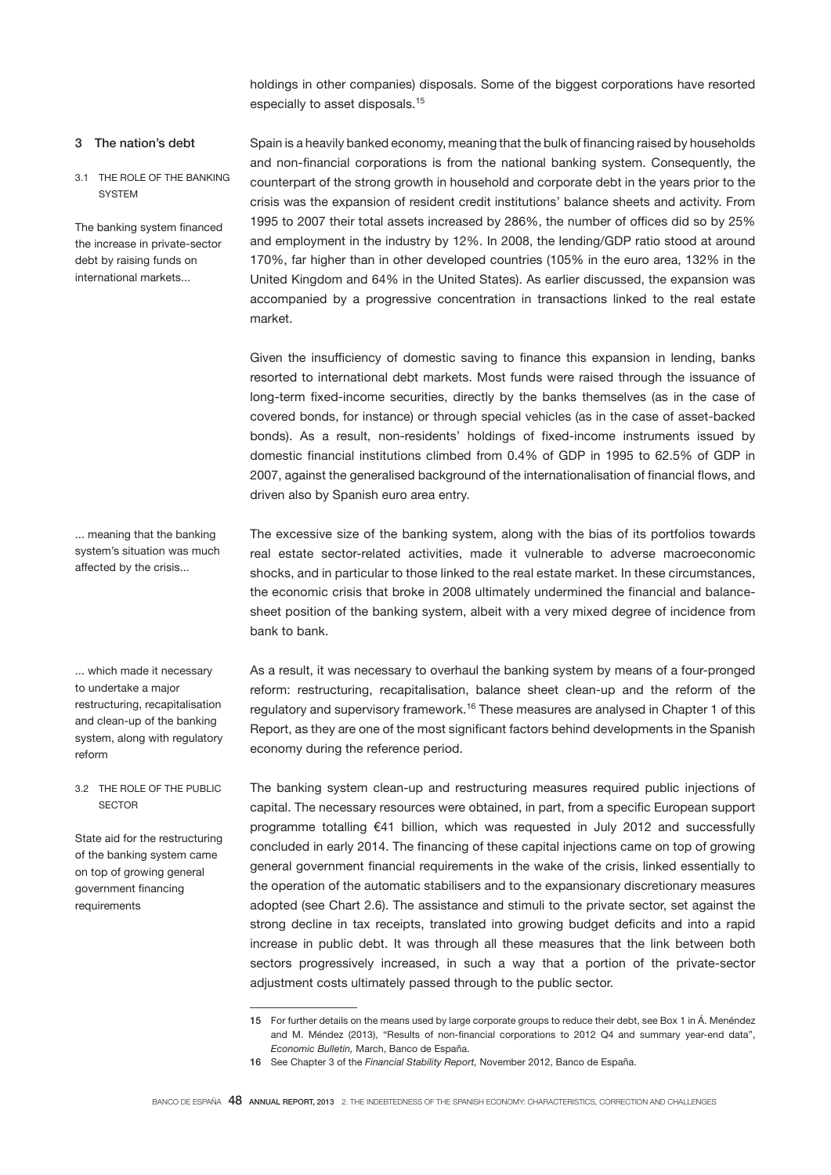holdings in other companies) disposals. Some of the biggest corporations have resorted especially to asset disposals.<sup>15</sup>

# 3 The nation's debt

3.1 THE ROLE OF THE BANKING **SYSTEM** 

The banking system financed the increase in private-sector debt by raising funds on international markets...

Spain is a heavily banked economy, meaning that the bulk of financing raised by households and non-financial corporations is from the national banking system. Consequently, the counterpart of the strong growth in household and corporate debt in the years prior to the crisis was the expansion of resident credit institutions' balance sheets and activity. From 1995 to 2007 their total assets increased by 286%, the number of offices did so by 25% and employment in the industry by 12%. In 2008, the lending/GDP ratio stood at around 170%, far higher than in other developed countries (105% in the euro area, 132% in the United Kingdom and 64% in the United States). As earlier discussed, the expansion was accompanied by a progressive concentration in transactions linked to the real estate market.

Given the insufficiency of domestic saving to finance this expansion in lending, banks resorted to international debt markets. Most funds were raised through the issuance of long-term fixed-income securities, directly by the banks themselves (as in the case of covered bonds, for instance) or through special vehicles (as in the case of asset-backed bonds). As a result, non-residents' holdings of fixed-income instruments issued by domestic financial institutions climbed from 0.4% of GDP in 1995 to 62.5% of GDP in 2007, against the generalised background of the internationalisation of financial flows, and driven also by Spanish euro area entry.

The excessive size of the banking system, along with the bias of its portfolios towards real estate sector-related activities, made it vulnerable to adverse macroeconomic shocks, and in particular to those linked to the real estate market. In these circumstances, the economic crisis that broke in 2008 ultimately undermined the financial and balancesheet position of the banking system, albeit with a very mixed degree of incidence from bank to bank.

As a result, it was necessary to overhaul the banking system by means of a four-pronged reform: restructuring, recapitalisation, balance sheet clean-up and the reform of the regulatory and supervisory framework.<sup>16</sup> These measures are analysed in Chapter 1 of this Report, as they are one of the most significant factors behind developments in the Spanish economy during the reference period.

The banking system clean-up and restructuring measures required public injections of capital. The necessary resources were obtained, in part, from a specific European support programme totalling €41 billion, which was requested in July 2012 and successfully concluded in early 2014. The financing of these capital injections came on top of growing general government financial requirements in the wake of the crisis, linked essentially to the operation of the automatic stabilisers and to the expansionary discretionary measures adopted (see Chart 2.6). The assistance and stimuli to the private sector, set against the strong decline in tax receipts, translated into growing budget deficits and into a rapid increase in public debt. It was through all these measures that the link between both sectors progressively increased, in such a way that a portion of the private-sector adjustment costs ultimately passed through to the public sector.

... meaning that the banking system's situation was much affected by the crisis...

... which made it necessary to undertake a major restructuring, recapitalisation and clean-up of the banking system, along with regulatory reform

3.2 THE ROLE OF THE PUBLIC **SECTOR** 

State aid for the restructuring of the banking system came on top of growing general government financing requirements

<sup>15</sup> For further details on the means used by large corporate groups to reduce their debt, see Box 1 in Á. Menéndez and M. Méndez (2013), "Results of non-financial corporations to 2012 Q4 and summary year-end data", *Economic Bulletin,* March, Banco de España.

<sup>16</sup> See Chapter 3 of the *Financial Stability Report,* November 2012, Banco de España.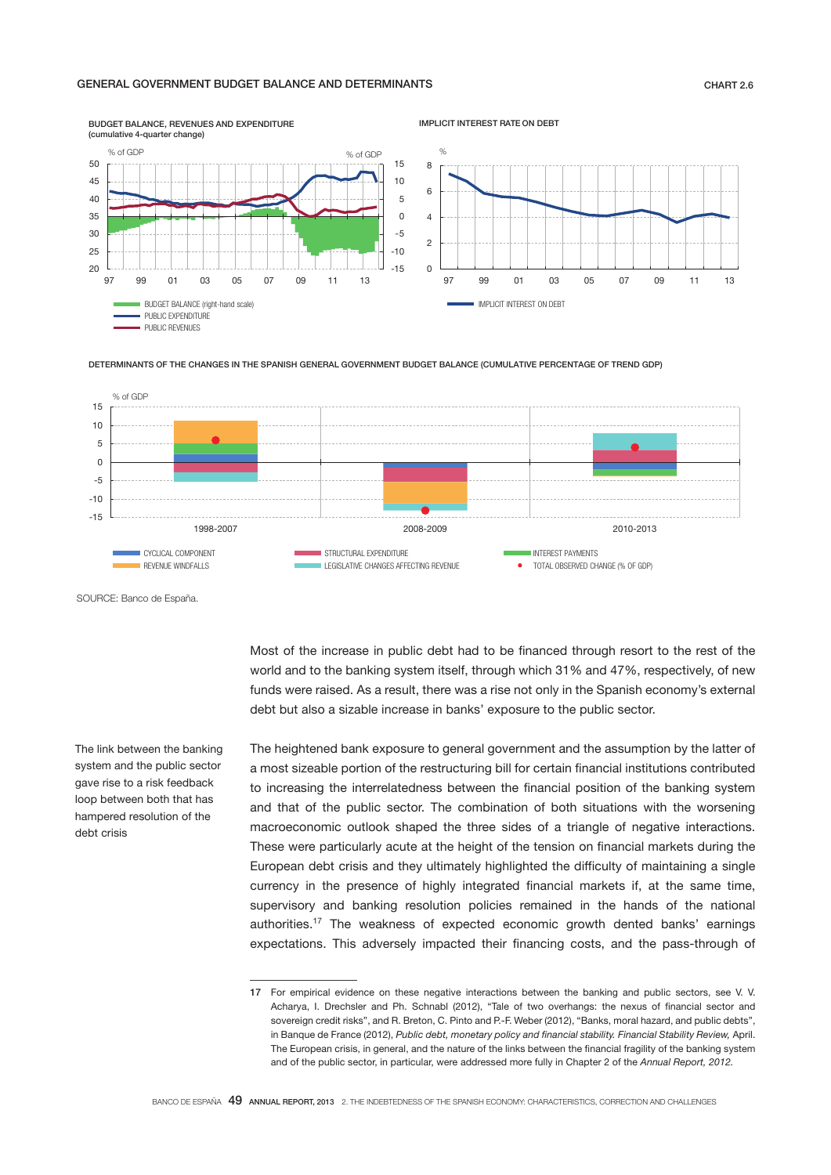## GENERAL GOVERNMENT BUDGET BALANCE AND DETERMINANTS

#### -15 -10 -5  $\overline{0}$ 5 10 15  $rac{L}{97}$ 25 30 35  $40$ 45 50 97 99 01 03 05 07 09 11 13 BUDGET BALANCE (right-hand scale) PUBLIC EXPENDITURE PUBLIC REVENUES (cumulative 4-quarter change) % of GDP  $\%$  of GDP í  $\Omega$  $\overline{2}$ 4 6 8 97 99 01 03 05 07 09 11 13 IMPLICIT INTEREST ON DEBT  $O/$ IMPLICIT INTEREST RATE ON DEBT

BUDGET BALANCE, REVENUES AND EXPENDITURE

DETERMINANTS OF THE CHANGES IN THE SPANISH GENERAL GOVERNMENT BUDGET BALANCE (CUMULATIVE PERCENTAGE OF TREND GDP)



SOURCE: Banco de España.

funds were raised. As a result, there was a rise not only in the Spanish economy's external debt but also a sizable increase in banks' exposure to the public sector. The heightened bank exposure to general government and the assumption by the latter of

a most sizeable portion of the restructuring bill for certain financial institutions contributed to increasing the interrelatedness between the financial position of the banking system and that of the public sector. The combination of both situations with the worsening macroeconomic outlook shaped the three sides of a triangle of negative interactions. These were particularly acute at the height of the tension on financial markets during the European debt crisis and they ultimately highlighted the difficulty of maintaining a single currency in the presence of highly integrated financial markets if, at the same time, supervisory and banking resolution policies remained in the hands of the national authorities.17 The weakness of expected economic growth dented banks' earnings expectations. This adversely impacted their financing costs, and the pass-through of

Most of the increase in public debt had to be financed through resort to the rest of the world and to the banking system itself, through which 31% and 47%, respectively, of new

The link between the banking system and the public sector gave rise to a risk feedback loop between both that has hampered resolution of the debt crisis

<sup>17</sup> For empirical evidence on these negative interactions between the banking and public sectors, see V. V. Acharya, I. Drechsler and Ph. Schnabl (2012), "Tale of two overhangs: the nexus of financial sector and sovereign credit risks", and R. Breton, C. Pinto and P.-F. Weber (2012), "Banks, moral hazard, and public debts", in Banque de France (2012), *Public debt, monetary policy and financial stability. Financial Stability Review,* April. The European crisis, in general, and the nature of the links between the financial fragility of the banking system and of the public sector, in particular, were addressed more fully in Chapter 2 of the *Annual Report, 2012.*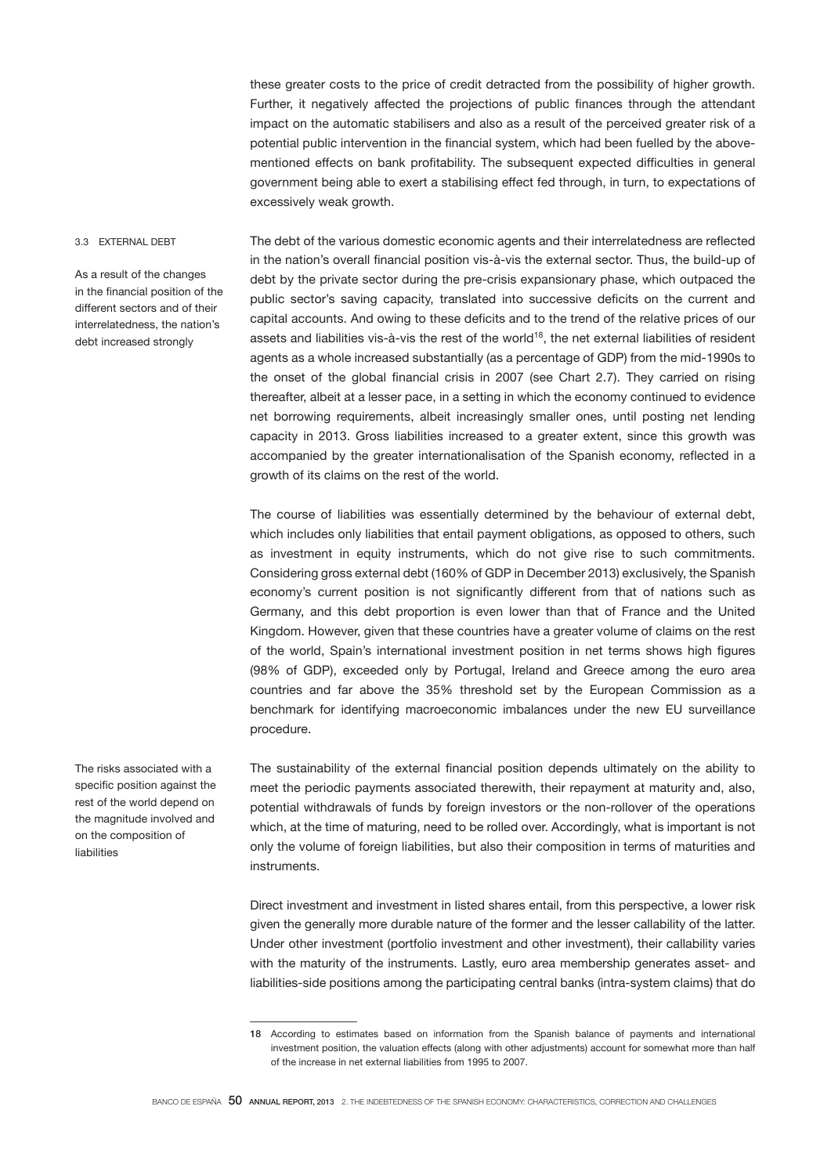these greater costs to the price of credit detracted from the possibility of higher growth. Further, it negatively affected the projections of public finances through the attendant impact on the automatic stabilisers and also as a result of the perceived greater risk of a potential public intervention in the financial system, which had been fuelled by the abovementioned effects on bank profitability. The subsequent expected difficulties in general government being able to exert a stabilising effect fed through, in turn, to expectations of excessively weak growth.

## 3.3 EXTERNAL DEBT

As a result of the changes in the financial position of the different sectors and of their interrelatedness, the nation's debt increased strongly

The debt of the various domestic economic agents and their interrelatedness are reflected in the nation's overall financial position vis-à-vis the external sector. Thus, the build-up of debt by the private sector during the pre-crisis expansionary phase, which outpaced the public sector's saving capacity, translated into successive deficits on the current and capital accounts. And owing to these deficits and to the trend of the relative prices of our assets and liabilities vis-à-vis the rest of the world<sup>18</sup>, the net external liabilities of resident agents as a whole increased substantially (as a percentage of GDP) from the mid-1990s to the onset of the global financial crisis in 2007 (see Chart 2.7). They carried on rising thereafter, albeit at a lesser pace, in a setting in which the economy continued to evidence net borrowing requirements, albeit increasingly smaller ones, until posting net lending capacity in 2013. Gross liabilities increased to a greater extent, since this growth was accompanied by the greater internationalisation of the Spanish economy, reflected in a growth of its claims on the rest of the world.

The course of liabilities was essentially determined by the behaviour of external debt, which includes only liabilities that entail payment obligations, as opposed to others, such as investment in equity instruments, which do not give rise to such commitments. Considering gross external debt (160% of GDP in December 2013) exclusively, the Spanish economy's current position is not significantly different from that of nations such as Germany, and this debt proportion is even lower than that of France and the United Kingdom. However, given that these countries have a greater volume of claims on the rest of the world, Spain's international investment position in net terms shows high figures (98% of GDP), exceeded only by Portugal, Ireland and Greece among the euro area countries and far above the 35% threshold set by the European Commission as a benchmark for identifying macroeconomic imbalances under the new EU surveillance procedure.

The sustainability of the external financial position depends ultimately on the ability to meet the periodic payments associated therewith, their repayment at maturity and, also, potential withdrawals of funds by foreign investors or the non-rollover of the operations which, at the time of maturing, need to be rolled over. Accordingly, what is important is not only the volume of foreign liabilities, but also their composition in terms of maturities and **instruments** 

Direct investment and investment in listed shares entail, from this perspective, a lower risk given the generally more durable nature of the former and the lesser callability of the latter. Under other investment (portfolio investment and other investment), their callability varies with the maturity of the instruments. Lastly, euro area membership generates asset- and liabilities-side positions among the participating central banks (intra-system claims) that do

The risks associated with a specific position against the rest of the world depend on the magnitude involved and on the composition of liabilities

<sup>18</sup> According to estimates based on information from the Spanish balance of payments and international investment position, the valuation effects (along with other adjustments) account for somewhat more than half of the increase in net external liabilities from 1995 to 2007.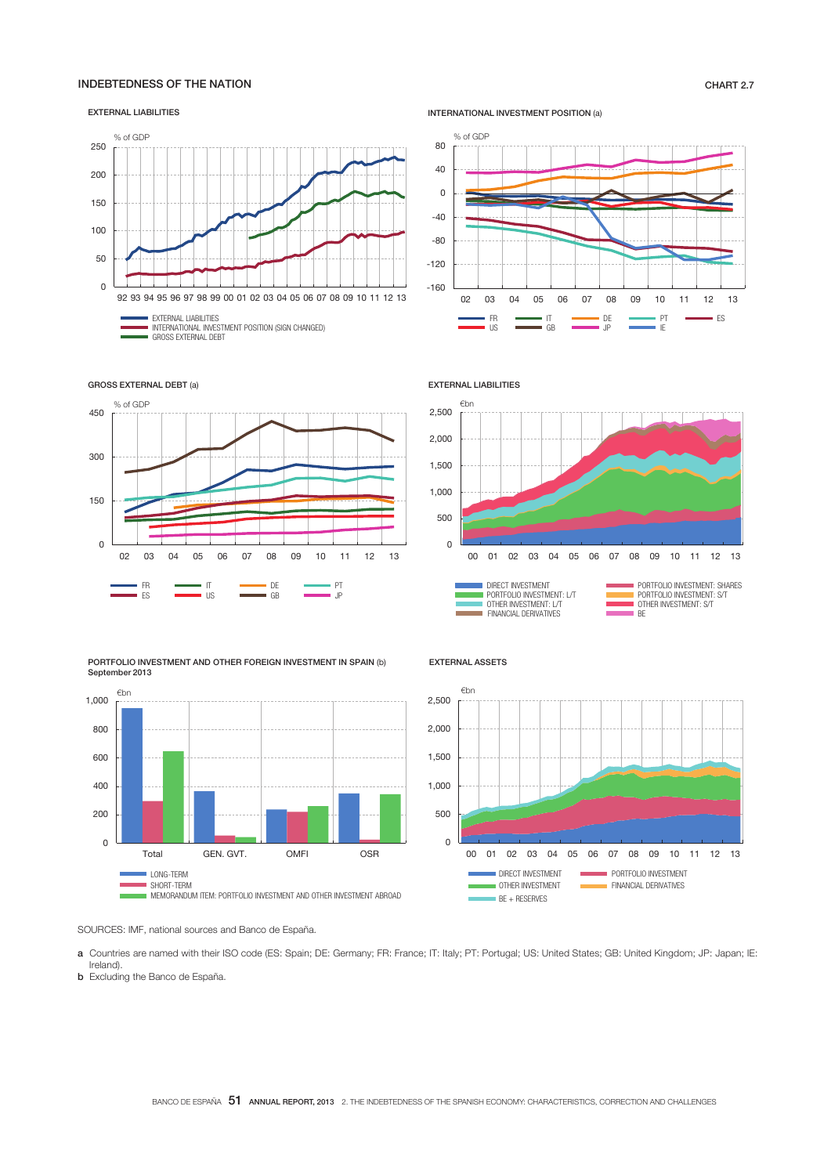# INDEBTEDNESS OF THE NATION **CHART 2.7**

#### EXTERNAL LIABILITIES



INTERNATIONAL INVESTMENT POSITION (a)





GROSS EXTERNAL DEBT (a)





EXTERNAL LIABILITIES



EXTERNAL ASSETS



SOURCES: IMF, national sources and Banco de España.

a Countries are named with their ISO code (ES: Spain; DE: Germany; FR: France; IT: Italy; PT: Portugal; US: United States; GB: United Kingdom; JP: Japan; IE: Ireland).

**b** Excluding the Banco de España.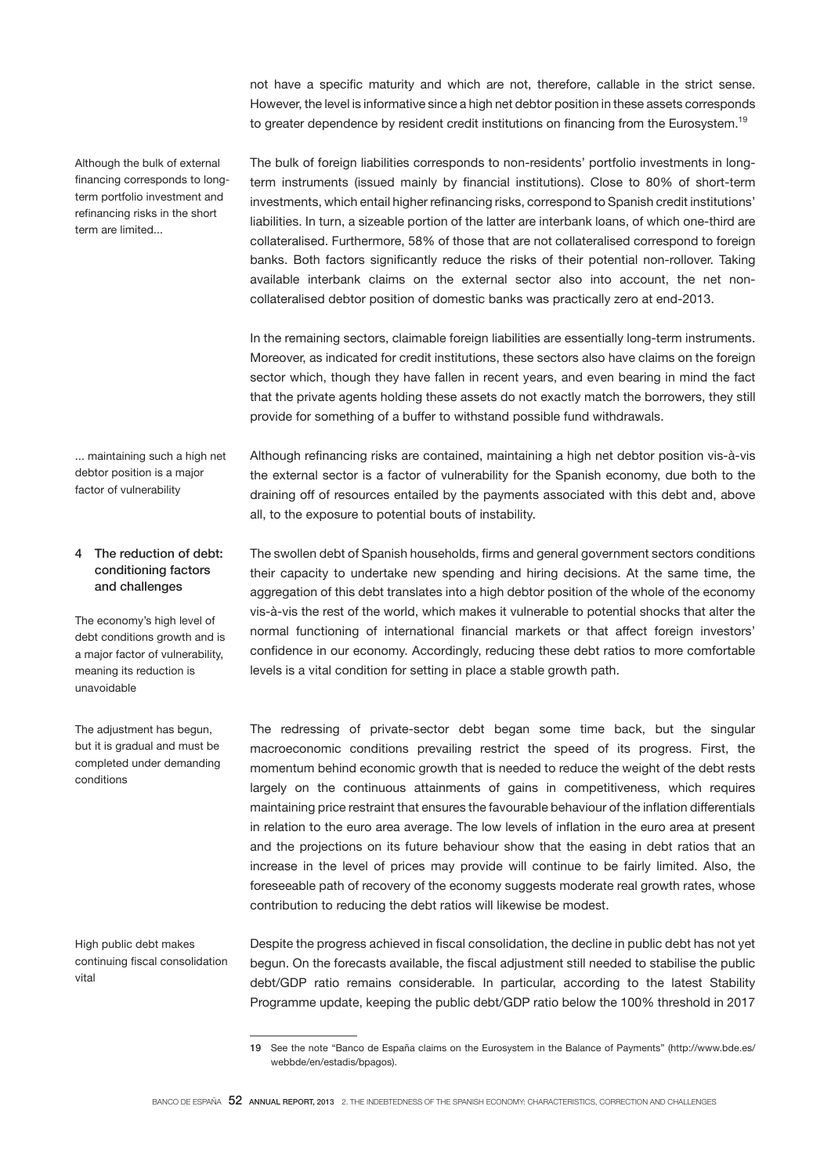not have a specific maturity and which are not, therefore, callable in the strict sense. However, the level is informative since a high net debtor position in these assets corresponds to greater dependence by resident credit institutions on financing from the Eurosystem.<sup>19</sup>

Although the bulk of external financing corresponds to longterm portfolio investment and refinancing risks in the short term are limited...

The bulk of foreign liabilities corresponds to non-residents' portfolio investments in longterm instruments (issued mainly by financial institutions). Close to 80% of short-term investments, which entail higher refinancing risks, correspond to Spanish credit institutions' liabilities. In turn, a sizeable portion of the latter are interbank loans, of which one-third are collateralised. Furthermore, 58% of those that are not collateralised correspond to foreign banks. Both factors significantly reduce the risks of their potential non-rollover. Taking available interbank claims on the external sector also into account, the net noncollateralised debtor position of domestic banks was practically zero at end-2013.

In the remaining sectors, claimable foreign liabilities are essentially long-term instruments. Moreover, as indicated for credit institutions, these sectors also have claims on the foreign sector which, though they have fallen in recent years, and even bearing in mind the fact that the private agents holding these assets do not exactly match the borrowers, they still provide for something of a buffer to withstand possible fund withdrawals.

... maintaining such a high net debtor position is a major factor of vulnerability

Although refinancing risks are contained, maintaining a high net debtor position vis-à-vis the external sector is a factor of vulnerability for the Spanish economy, due both to the draining off of resources entailed by the payments associated with this debt and, above all, to the exposure to potential bouts of instability.

## 4 The reduction of debt: conditioning factors and challenges

The economy's high level of debt conditions growth and is a major factor of vulnerability, meaning its reduction is unavoidable

The adjustment has begun. but it is gradual and must be completed under demanding conditions

High public debt makes continuing fiscal consolidation vital

The swollen debt of Spanish households, firms and general government sectors conditions their capacity to undertake new spending and hiring decisions. At the same time, the aggregation of this debt translates into a high debtor position of the whole of the economy vis-à-vis the rest of the world, which makes it vulnerable to potential shocks that alter the normal functioning of international financial markets or that affect foreign investors' confidence in our economy. Accordingly, reducing these debt ratios to more comfortable levels is a vital condition for setting in place a stable growth path.

The redressing of private-sector debt began some time back, but the singular macroeconomic conditions prevailing restrict the speed of its progress. First, the momentum behind economic growth that is needed to reduce the weight of the debt rests largely on the continuous attainments of gains in competitiveness, which requires maintaining price restraint that ensures the favourable behaviour of the inflation differentials in relation to the euro area average. The low levels of inflation in the euro area at present and the projections on its future behaviour show that the easing in debt ratios that an increase in the level of prices may provide will continue to be fairly limited. Also, the foreseeable path of recovery of the economy suggests moderate real growth rates, whose contribution to reducing the debt ratios will likewise be modest.

Despite the progress achieved in fiscal consolidation, the decline in public debt has not yet begun. On the forecasts available, the fiscal adjustment still needed to stabilise the public debt/GDP ratio remains considerable. In particular, according to the latest Stability Programme update, keeping the public debt/GDP ratio below the 100% threshold in 2017

<sup>19</sup> See the note "Banco de España claims on the Eurosystem in the Balance of Payments" (http://www.bde.es/ webbde/en/estadis/bpagos).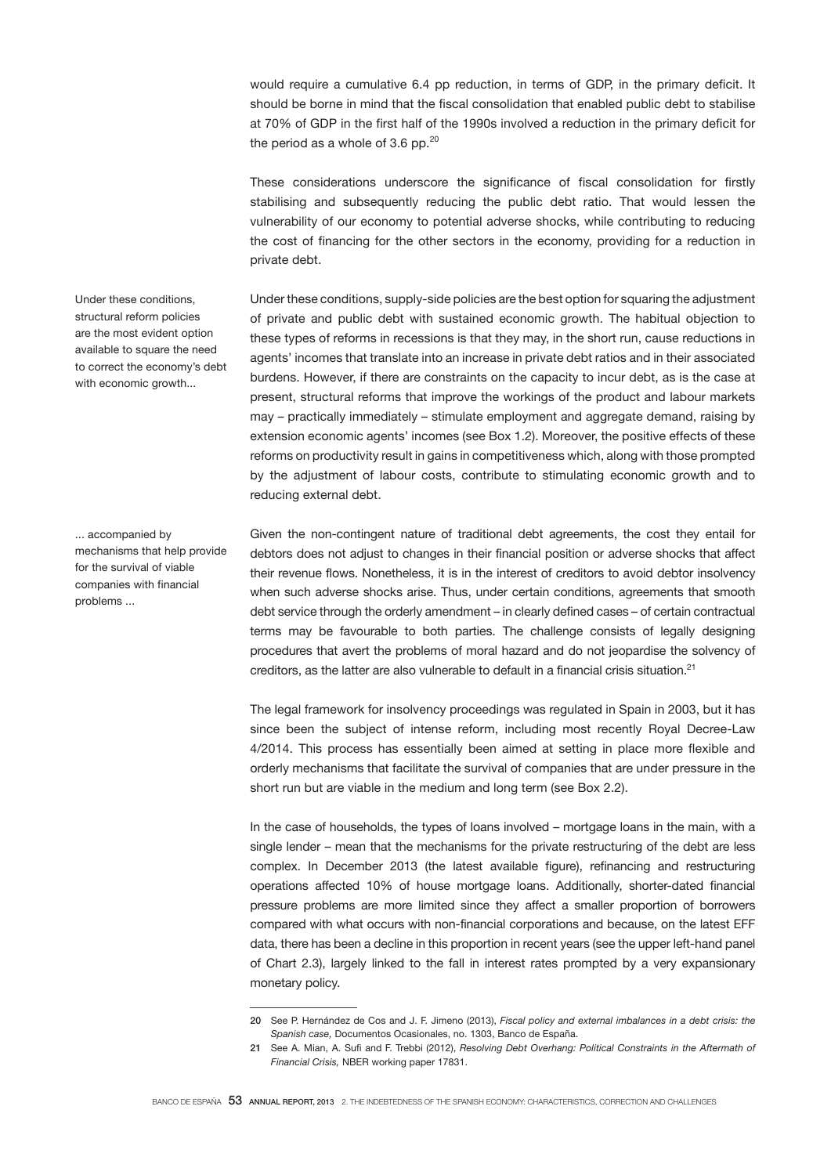would require a cumulative 6.4 pp reduction, in terms of GDP, in the primary deficit. It should be borne in mind that the fiscal consolidation that enabled public debt to stabilise at 70% of GDP in the first half of the 1990s involved a reduction in the primary deficit for the period as a whole of 3.6 pp. $20$ 

These considerations underscore the significance of fiscal consolidation for firstly stabilising and subsequently reducing the public debt ratio. That would lessen the vulnerability of our economy to potential adverse shocks, while contributing to reducing the cost of financing for the other sectors in the economy, providing for a reduction in private debt.

Under these conditions, supply-side policies are the best option for squaring the adjustment of private and public debt with sustained economic growth. The habitual objection to these types of reforms in recessions is that they may, in the short run, cause reductions in agents' incomes that translate into an increase in private debt ratios and in their associated burdens. However, if there are constraints on the capacity to incur debt, as is the case at present, structural reforms that improve the workings of the product and labour markets may – practically immediately – stimulate employment and aggregate demand, raising by extension economic agents' incomes (see Box 1.2). Moreover, the positive effects of these reforms on productivity result in gains in competitiveness which, along with those prompted by the adjustment of labour costs, contribute to stimulating economic growth and to reducing external debt.

Given the non-contingent nature of traditional debt agreements, the cost they entail for debtors does not adjust to changes in their financial position or adverse shocks that affect their revenue flows. Nonetheless, it is in the interest of creditors to avoid debtor insolvency when such adverse shocks arise. Thus, under certain conditions, agreements that smooth debt service through the orderly amendment – in clearly defined cases – of certain contractual terms may be favourable to both parties. The challenge consists of legally designing procedures that avert the problems of moral hazard and do not jeopardise the solvency of creditors, as the latter are also vulnerable to default in a financial crisis situation.<sup>21</sup>

The legal framework for insolvency proceedings was regulated in Spain in 2003, but it has since been the subject of intense reform, including most recently Royal Decree-Law 4/2014. This process has essentially been aimed at setting in place more flexible and orderly mechanisms that facilitate the survival of companies that are under pressure in the short run but are viable in the medium and long term (see Box 2.2).

In the case of households, the types of loans involved – mortgage loans in the main, with a single lender – mean that the mechanisms for the private restructuring of the debt are less complex. In December 2013 (the latest available figure), refinancing and restructuring operations affected 10% of house mortgage loans. Additionally, shorter-dated financial pressure problems are more limited since they affect a smaller proportion of borrowers compared with what occurs with non-financial corporations and because, on the latest EFF data, there has been a decline in this proportion in recent years (see the upper left-hand panel of Chart 2.3), largely linked to the fall in interest rates prompted by a very expansionary monetary policy.

Under these conditions, structural reform policies are the most evident option available to square the need to correct the economy's debt with economic growth...

... accompanied by mechanisms that help provide for the survival of viable companies with financial problems ...

<sup>20</sup> See P. Hernández de Cos and J. F. Jimeno (2013), *Fiscal policy and external imbalances in a debt crisis: the Spanish case,* Documentos Ocasionales, no. 1303, Banco de España.

<sup>21</sup> See A. Mian, A. Sufi and F. Trebbi (2012), *Resolving Debt Overhang: Political Constraints in the Aftermath of Financial Crisis,* NBER working paper 17831.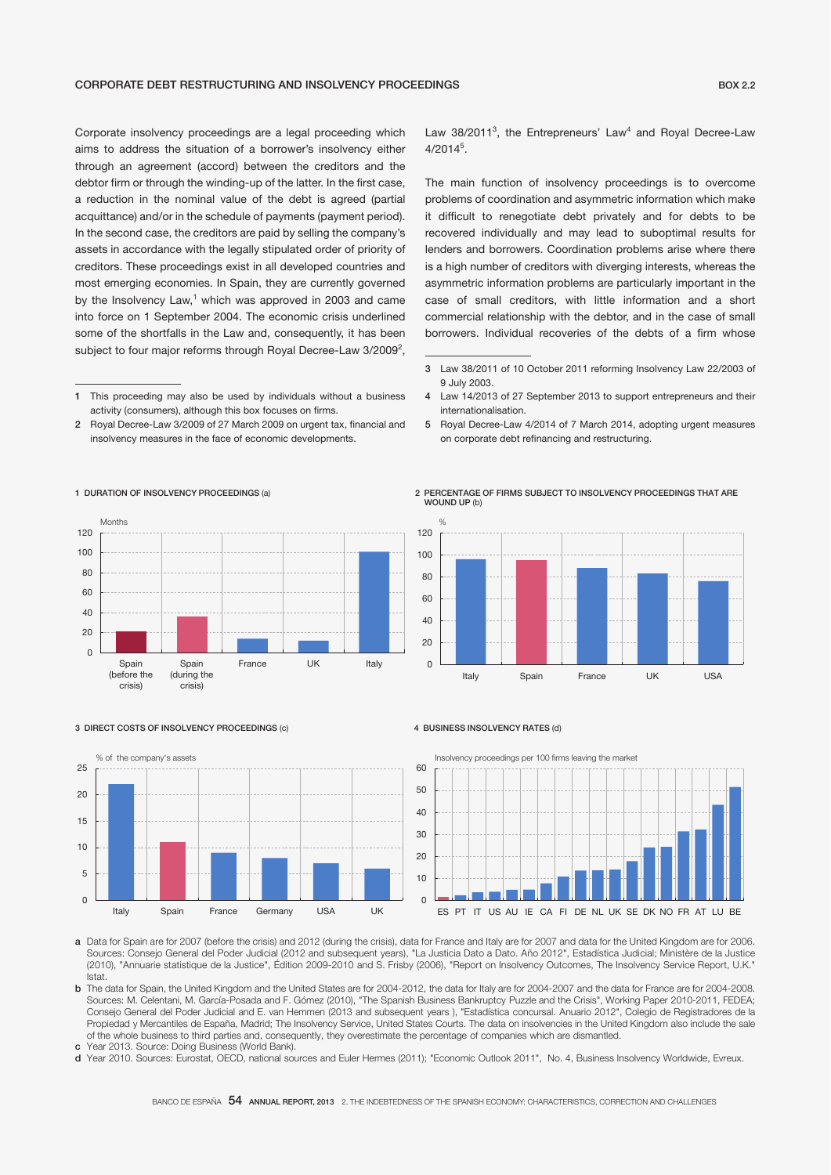Corporate insolvency proceedings are a legal proceeding which aims to address the situation of a borrower's insolvency either through an agreement (accord) between the creditors and the debtor firm or through the winding-up of the latter. In the first case, a reduction in the nominal value of the debt is agreed (partial acquittance) and/or in the schedule of payments (payment period). In the second case, the creditors are paid by selling the company's assets in accordance with the legally stipulated order of priority of creditors. These proceedings exist in all developed countries and most emerging economies. In Spain, they are currently governed by the Insolvency Law,<sup>1</sup> which was approved in 2003 and came into force on 1 September 2004. The economic crisis underlined some of the shortfalls in the Law and, consequently, it has been subject to four major reforms through Royal Decree-Law 3/2009<sup>2</sup>,

2 Royal Decree-Law 3/2009 of 27 March 2009 on urgent tax, financial and insolvency measures in the face of economic developments.

Law  $38/2011^3$ , the Entrepreneurs' Law<sup>4</sup> and Royal Decree-Law  $4/2014^5$ .

The main function of insolvency proceedings is to overcome problems of coordination and asymmetric information which make it difficult to renegotiate debt privately and for debts to be recovered individually and may lead to suboptimal results for lenders and borrowers. Coordination problems arise where there is a high number of creditors with diverging interests, whereas the asymmetric information problems are particularly important in the case of small creditors, with little information and a short commercial relationship with the debtor, and in the case of small borrowers. Individual recoveries of the debts of a firm whose

5 Royal Decree-Law 4/2014 of 7 March 2014, adopting urgent measures on corporate debt refinancing and restructuring.





#### 3 DIRECT COSTS OF INSOLVENCY PROCEEDINGS (c)

Spain (during the crisis)

1 DURATION OF INSOLVENCY PROCEEDINGS (a)

Spain (before the crisis)

Months



France UK Italy

#### 4 BUSINESS INSOLVENCY RATES (d)



a Data for Spain are for 2007 (before the crisis) and 2012 (during the crisis), data for France and Italy are for 2007 and data for the United Kingdom are for 2006. Sources: Consejo General del Poder Judicial (2012 and subsequent years), "La Justicia Dato a Dato. Año 2012", Estadística Judicial; Ministère de la Justice (2010), "Annuarie statistique de la Justice", Édition 2009-2010 and S. Frisby (2006), "Report on Insolvency Outcomes, The Insolvency Service Report, U.K." Istat.

b The data for Spain, the United Kingdom and the United States are for 2004-2012, the data for Italy are for 2004-2007 and the data for France are for 2004-2008. Sources: M. Celentani, M. García-Posada and F. Gómez (2010), "The Spanish Business Bankruptcy Puzzle and the Crisis", Working Paper 2010-2011, FEDEA; Consejo General del Poder Judicial and E. van Hemmen (2013 and subsequent years ), "Estadística concursal. Anuario 2012", Colegio de Registradores de la Propiedad y Mercantiles de España, Madrid; The Insolvency Service, United States Courts. The data on insolvencies in the United Kingdom also include the sale of the whole business to third parties and, consequently, they overestimate the percentage of companies which are dismantled.

c Year 2013. Source: Doing Business (World Bank).

d Year 2010. Sources: Eurostat, OECD, national sources and Euler Hermes (2011); "Economic Outlook 2011", No. 4, Business Insolvency Worldwide, Evreux.

<sup>1</sup> This proceeding may also be used by individuals without a business activity (consumers), although this box focuses on firms.

<sup>3</sup> Law 38/2011 of 10 October 2011 reforming Insolvency Law 22/2003 of 9 July 2003.

<sup>4</sup> Law 14/2013 of 27 September 2013 to support entrepreneurs and their internationalisation.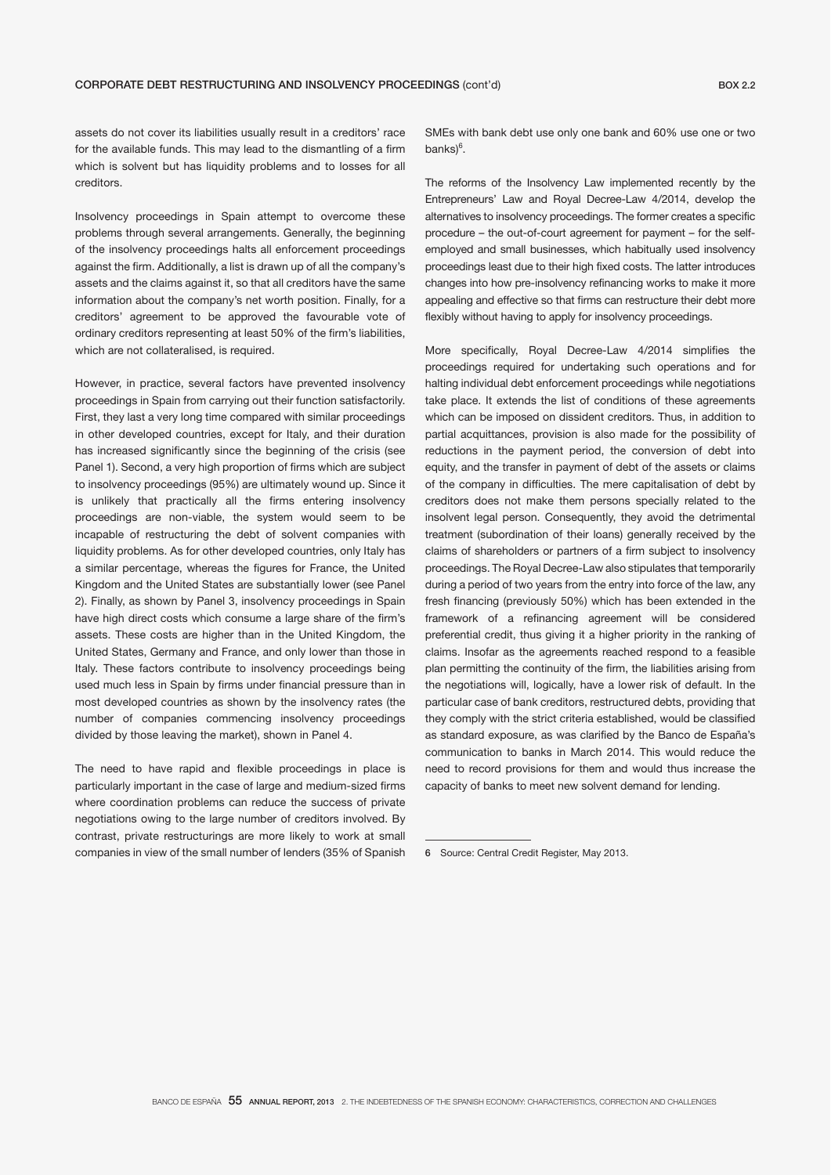assets do not cover its liabilities usually result in a creditors' race for the available funds. This may lead to the dismantling of a firm which is solvent but has liquidity problems and to losses for all creditors.

Insolvency proceedings in Spain attempt to overcome these problems through several arrangements. Generally, the beginning of the insolvency proceedings halts all enforcement proceedings against the firm. Additionally, a list is drawn up of all the company's assets and the claims against it, so that all creditors have the same information about the company's net worth position. Finally, for a creditors' agreement to be approved the favourable vote of ordinary creditors representing at least 50% of the firm's liabilities, which are not collateralised, is required.

However, in practice, several factors have prevented insolvency proceedings in Spain from carrying out their function satisfactorily. First, they last a very long time compared with similar proceedings in other developed countries, except for Italy, and their duration has increased significantly since the beginning of the crisis (see Panel 1). Second, a very high proportion of firms which are subject to insolvency proceedings (95%) are ultimately wound up. Since it is unlikely that practically all the firms entering insolvency proceedings are non-viable, the system would seem to be incapable of restructuring the debt of solvent companies with liquidity problems. As for other developed countries, only Italy has a similar percentage, whereas the figures for France, the United Kingdom and the United States are substantially lower (see Panel 2). Finally, as shown by Panel 3, insolvency proceedings in Spain have high direct costs which consume a large share of the firm's assets. These costs are higher than in the United Kingdom, the United States, Germany and France, and only lower than those in Italy. These factors contribute to insolvency proceedings being used much less in Spain by firms under financial pressure than in most developed countries as shown by the insolvency rates (the number of companies commencing insolvency proceedings divided by those leaving the market), shown in Panel 4.

The need to have rapid and flexible proceedings in place is particularly important in the case of large and medium-sized firms where coordination problems can reduce the success of private negotiations owing to the large number of creditors involved. By contrast, private restructurings are more likely to work at small companies in view of the small number of lenders (35% of Spanish SMEs with bank debt use only one bank and 60% use one or two banks)<sup>6</sup>.

The reforms of the Insolvency Law implemented recently by the Entrepreneurs' Law and Royal Decree-Law 4/2014, develop the alternatives to insolvency proceedings. The former creates a specific procedure – the out-of-court agreement for payment – for the selfemployed and small businesses, which habitually used insolvency proceedings least due to their high fixed costs. The latter introduces changes into how pre-insolvency refinancing works to make it more appealing and effective so that firms can restructure their debt more flexibly without having to apply for insolvency proceedings.

More specifically, Royal Decree-Law 4/2014 simplifies the proceedings required for undertaking such operations and for halting individual debt enforcement proceedings while negotiations take place. It extends the list of conditions of these agreements which can be imposed on dissident creditors. Thus, in addition to partial acquittances, provision is also made for the possibility of reductions in the payment period, the conversion of debt into equity, and the transfer in payment of debt of the assets or claims of the company in difficulties. The mere capitalisation of debt by creditors does not make them persons specially related to the insolvent legal person. Consequently, they avoid the detrimental treatment (subordination of their loans) generally received by the claims of shareholders or partners of a firm subject to insolvency proceedings. The Royal Decree-Law also stipulates that temporarily during a period of two years from the entry into force of the law, any fresh financing (previously 50%) which has been extended in the framework of a refinancing agreement will be considered preferential credit, thus giving it a higher priority in the ranking of claims. Insofar as the agreements reached respond to a feasible plan permitting the continuity of the firm, the liabilities arising from the negotiations will, logically, have a lower risk of default. In the particular case of bank creditors, restructured debts, providing that they comply with the strict criteria established, would be classified as standard exposure, as was clarified by the Banco de España's communication to banks in March 2014. This would reduce the need to record provisions for them and would thus increase the capacity of banks to meet new solvent demand for lending.

<sup>6</sup> Source: Central Credit Register, May 2013.